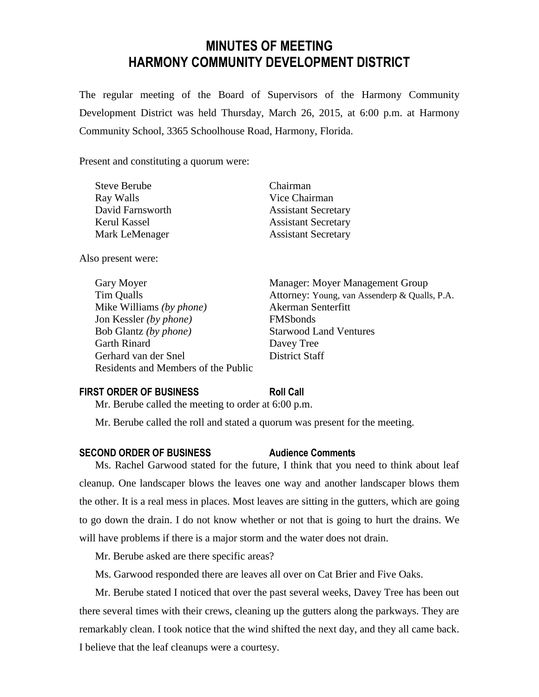# **MINUTES OF MEETING HARMONY COMMUNITY DEVELOPMENT DISTRICT**

The regular meeting of the Board of Supervisors of the Harmony Community Development District was held Thursday, March 26, 2015, at 6:00 p.m. at Harmony Community School, 3365 Schoolhouse Road, Harmony, Florida.

Present and constituting a quorum were:

| <b>Steve Berube</b> |  |
|---------------------|--|
| Ray Walls           |  |
| David Farnsworth    |  |
| Kerul Kassel        |  |
| Mark LeMenager      |  |

Also present were:

Gary Moyer **Manager:** Moyer Management Group Mike Williams *(by phone)* Akerman Senterfitt Jon Kessler *(by phone)* FMSbonds Bob Glantz *(by phone)* Starwood Land Ventures Garth Rinard Davey Tree Gerhard van der Snel District Staff Residents and Members of the Public

Chairman Vice Chairman **Assistant Secretary Assistant Secretary Assistant Secretary** 

Tim Qualls Attorney: Young, van Assenderp & Qualls, P.A.

## **FIRST ORDER OF BUSINESS Roll Call**

Mr. Berube called the meeting to order at 6:00 p.m.

Mr. Berube called the roll and stated a quorum was present for the meeting.

#### **SECOND ORDER OF BUSINESS Audience Comments**

Ms. Rachel Garwood stated for the future, I think that you need to think about leaf cleanup. One landscaper blows the leaves one way and another landscaper blows them the other. It is a real mess in places. Most leaves are sitting in the gutters, which are going to go down the drain. I do not know whether or not that is going to hurt the drains. We will have problems if there is a major storm and the water does not drain.

Mr. Berube asked are there specific areas?

Ms. Garwood responded there are leaves all over on Cat Brier and Five Oaks.

Mr. Berube stated I noticed that over the past several weeks, Davey Tree has been out there several times with their crews, cleaning up the gutters along the parkways. They are remarkably clean. I took notice that the wind shifted the next day, and they all came back. I believe that the leaf cleanups were a courtesy.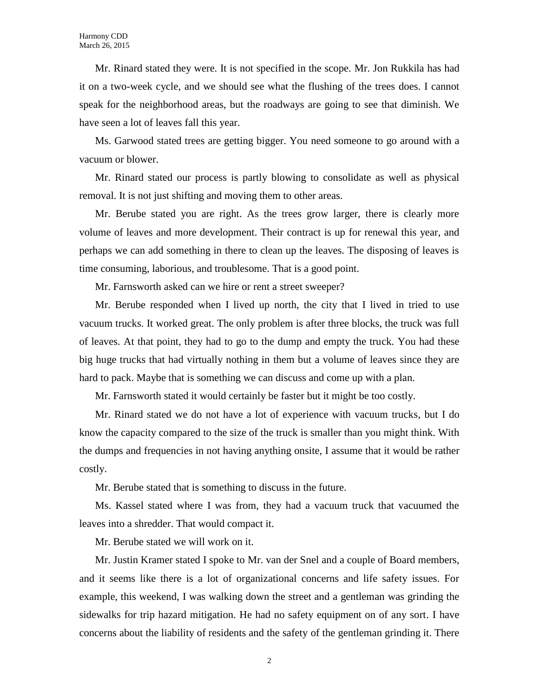Mr. Rinard stated they were. It is not specified in the scope. Mr. Jon Rukkila has had it on a two-week cycle, and we should see what the flushing of the trees does. I cannot speak for the neighborhood areas, but the roadways are going to see that diminish. We have seen a lot of leaves fall this year.

Ms. Garwood stated trees are getting bigger. You need someone to go around with a vacuum or blower.

Mr. Rinard stated our process is partly blowing to consolidate as well as physical removal. It is not just shifting and moving them to other areas.

Mr. Berube stated you are right. As the trees grow larger, there is clearly more volume of leaves and more development. Their contract is up for renewal this year, and perhaps we can add something in there to clean up the leaves. The disposing of leaves is time consuming, laborious, and troublesome. That is a good point.

Mr. Farnsworth asked can we hire or rent a street sweeper?

Mr. Berube responded when I lived up north, the city that I lived in tried to use vacuum trucks. It worked great. The only problem is after three blocks, the truck was full of leaves. At that point, they had to go to the dump and empty the truck. You had these big huge trucks that had virtually nothing in them but a volume of leaves since they are hard to pack. Maybe that is something we can discuss and come up with a plan.

Mr. Farnsworth stated it would certainly be faster but it might be too costly.

Mr. Rinard stated we do not have a lot of experience with vacuum trucks, but I do know the capacity compared to the size of the truck is smaller than you might think. With the dumps and frequencies in not having anything onsite, I assume that it would be rather costly.

Mr. Berube stated that is something to discuss in the future.

Ms. Kassel stated where I was from, they had a vacuum truck that vacuumed the leaves into a shredder. That would compact it.

Mr. Berube stated we will work on it.

Mr. Justin Kramer stated I spoke to Mr. van der Snel and a couple of Board members, and it seems like there is a lot of organizational concerns and life safety issues. For example, this weekend, I was walking down the street and a gentleman was grinding the sidewalks for trip hazard mitigation. He had no safety equipment on of any sort. I have concerns about the liability of residents and the safety of the gentleman grinding it. There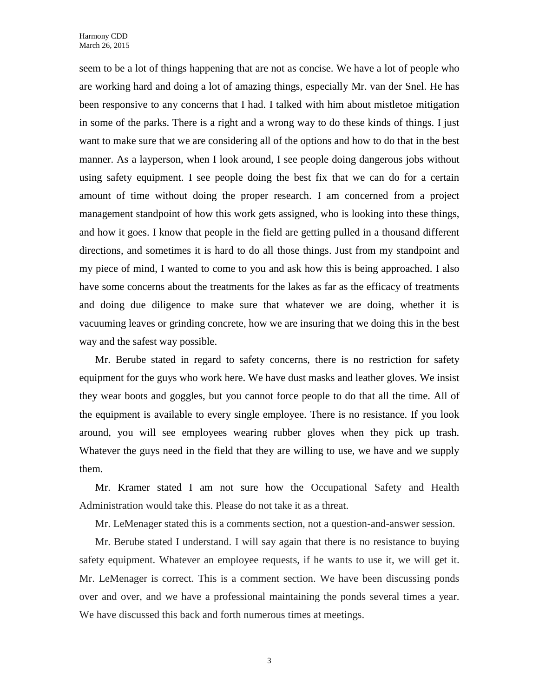seem to be a lot of things happening that are not as concise. We have a lot of people who are working hard and doing a lot of amazing things, especially Mr. van der Snel. He has been responsive to any concerns that I had. I talked with him about mistletoe mitigation in some of the parks. There is a right and a wrong way to do these kinds of things. I just want to make sure that we are considering all of the options and how to do that in the best manner. As a layperson, when I look around, I see people doing dangerous jobs without using safety equipment. I see people doing the best fix that we can do for a certain amount of time without doing the proper research. I am concerned from a project management standpoint of how this work gets assigned, who is looking into these things, and how it goes. I know that people in the field are getting pulled in a thousand different directions, and sometimes it is hard to do all those things. Just from my standpoint and my piece of mind, I wanted to come to you and ask how this is being approached. I also have some concerns about the treatments for the lakes as far as the efficacy of treatments and doing due diligence to make sure that whatever we are doing, whether it is vacuuming leaves or grinding concrete, how we are insuring that we doing this in the best way and the safest way possible.

Mr. Berube stated in regard to safety concerns, there is no restriction for safety equipment for the guys who work here. We have dust masks and leather gloves. We insist they wear boots and goggles, but you cannot force people to do that all the time. All of the equipment is available to every single employee. There is no resistance. If you look around, you will see employees wearing rubber gloves when they pick up trash. Whatever the guys need in the field that they are willing to use, we have and we supply them.

Mr. Kramer stated I am not sure how the Occupational Safety and Health Administration would take this. Please do not take it as a threat.

Mr. LeMenager stated this is a comments section, not a question-and-answer session.

Mr. Berube stated I understand. I will say again that there is no resistance to buying safety equipment. Whatever an employee requests, if he wants to use it, we will get it. Mr. LeMenager is correct. This is a comment section. We have been discussing ponds over and over, and we have a professional maintaining the ponds several times a year. We have discussed this back and forth numerous times at meetings.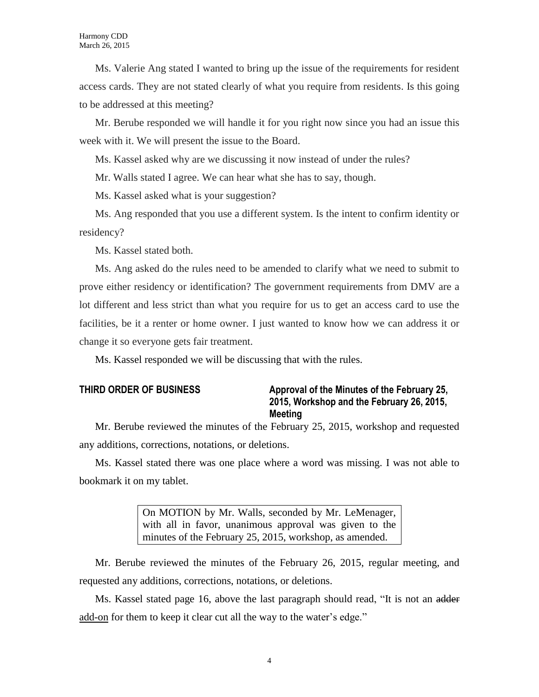Ms. Valerie Ang stated I wanted to bring up the issue of the requirements for resident access cards. They are not stated clearly of what you require from residents. Is this going to be addressed at this meeting?

Mr. Berube responded we will handle it for you right now since you had an issue this week with it. We will present the issue to the Board.

Ms. Kassel asked why are we discussing it now instead of under the rules?

Mr. Walls stated I agree. We can hear what she has to say, though.

Ms. Kassel asked what is your suggestion?

Ms. Ang responded that you use a different system. Is the intent to confirm identity or residency?

Ms. Kassel stated both.

Ms. Ang asked do the rules need to be amended to clarify what we need to submit to prove either residency or identification? The government requirements from DMV are a lot different and less strict than what you require for us to get an access card to use the facilities, be it a renter or home owner. I just wanted to know how we can address it or change it so everyone gets fair treatment.

Ms. Kassel responded we will be discussing that with the rules.

# **THIRD ORDER OF BUSINESS Approval of the Minutes of the February 25, 2015, Workshop and the February 26, 2015, Meeting**

Mr. Berube reviewed the minutes of the February 25, 2015, workshop and requested any additions, corrections, notations, or deletions.

Ms. Kassel stated there was one place where a word was missing. I was not able to bookmark it on my tablet.

> On MOTION by Mr. Walls, seconded by Mr. LeMenager, with all in favor, unanimous approval was given to the minutes of the February 25, 2015, workshop, as amended.

Mr. Berube reviewed the minutes of the February 26, 2015, regular meeting, and requested any additions, corrections, notations, or deletions.

Ms. Kassel stated page 16, above the last paragraph should read, "It is not an adder add-on for them to keep it clear cut all the way to the water's edge."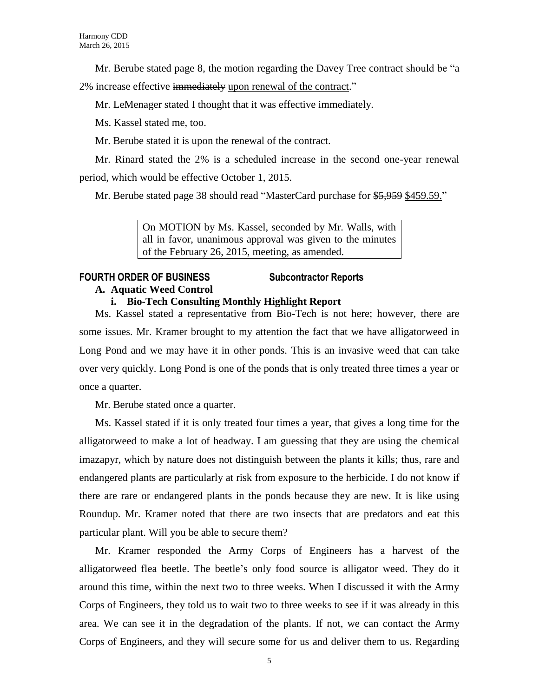Mr. Berube stated page 8, the motion regarding the Davey Tree contract should be "a

2% increase effective immediately upon renewal of the contract."

Mr. LeMenager stated I thought that it was effective immediately.

Ms. Kassel stated me, too.

Mr. Berube stated it is upon the renewal of the contract.

Mr. Rinard stated the 2% is a scheduled increase in the second one-year renewal period, which would be effective October 1, 2015.

Mr. Berube stated page 38 should read "MasterCard purchase for \$5,959 \$459.59."

On MOTION by Ms. Kassel, seconded by Mr. Walls, with all in favor, unanimous approval was given to the minutes of the February 26, 2015, meeting, as amended.

# **FOURTH ORDER OF BUSINESS Subcontractor Reports**

# **A. Aquatic Weed Control**

# **i. Bio-Tech Consulting Monthly Highlight Report**

Ms. Kassel stated a representative from Bio-Tech is not here; however, there are some issues. Mr. Kramer brought to my attention the fact that we have alligatorweed in Long Pond and we may have it in other ponds. This is an invasive weed that can take over very quickly. Long Pond is one of the ponds that is only treated three times a year or once a quarter.

Mr. Berube stated once a quarter.

Ms. Kassel stated if it is only treated four times a year, that gives a long time for the alligatorweed to make a lot of headway. I am guessing that they are using the chemical imazapyr, which by nature does not distinguish between the plants it kills; thus, rare and endangered plants are particularly at risk from exposure to the herbicide. I do not know if there are rare or endangered plants in the ponds because they are new. It is like using Roundup. Mr. Kramer noted that there are two insects that are predators and eat this particular plant. Will you be able to secure them?

Mr. Kramer responded the Army Corps of Engineers has a harvest of the alligatorweed flea beetle. The beetle's only food source is alligator weed. They do it around this time, within the next two to three weeks. When I discussed it with the Army Corps of Engineers, they told us to wait two to three weeks to see if it was already in this area. We can see it in the degradation of the plants. If not, we can contact the Army Corps of Engineers, and they will secure some for us and deliver them to us. Regarding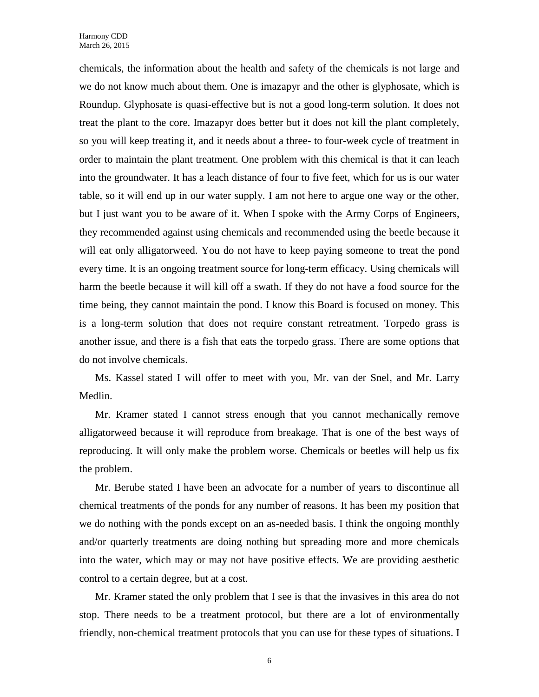chemicals, the information about the health and safety of the chemicals is not large and we do not know much about them. One is imazapyr and the other is glyphosate, which is Roundup. Glyphosate is quasi-effective but is not a good long-term solution. It does not treat the plant to the core. Imazapyr does better but it does not kill the plant completely, so you will keep treating it, and it needs about a three- to four-week cycle of treatment in order to maintain the plant treatment. One problem with this chemical is that it can leach into the groundwater. It has a leach distance of four to five feet, which for us is our water table, so it will end up in our water supply. I am not here to argue one way or the other, but I just want you to be aware of it. When I spoke with the Army Corps of Engineers, they recommended against using chemicals and recommended using the beetle because it will eat only alligatorweed. You do not have to keep paying someone to treat the pond every time. It is an ongoing treatment source for long-term efficacy. Using chemicals will harm the beetle because it will kill off a swath. If they do not have a food source for the time being, they cannot maintain the pond. I know this Board is focused on money. This is a long-term solution that does not require constant retreatment. Torpedo grass is another issue, and there is a fish that eats the torpedo grass. There are some options that do not involve chemicals.

Ms. Kassel stated I will offer to meet with you, Mr. van der Snel, and Mr. Larry Medlin.

Mr. Kramer stated I cannot stress enough that you cannot mechanically remove alligatorweed because it will reproduce from breakage. That is one of the best ways of reproducing. It will only make the problem worse. Chemicals or beetles will help us fix the problem.

Mr. Berube stated I have been an advocate for a number of years to discontinue all chemical treatments of the ponds for any number of reasons. It has been my position that we do nothing with the ponds except on an as-needed basis. I think the ongoing monthly and/or quarterly treatments are doing nothing but spreading more and more chemicals into the water, which may or may not have positive effects. We are providing aesthetic control to a certain degree, but at a cost.

Mr. Kramer stated the only problem that I see is that the invasives in this area do not stop. There needs to be a treatment protocol, but there are a lot of environmentally friendly, non-chemical treatment protocols that you can use for these types of situations. I

6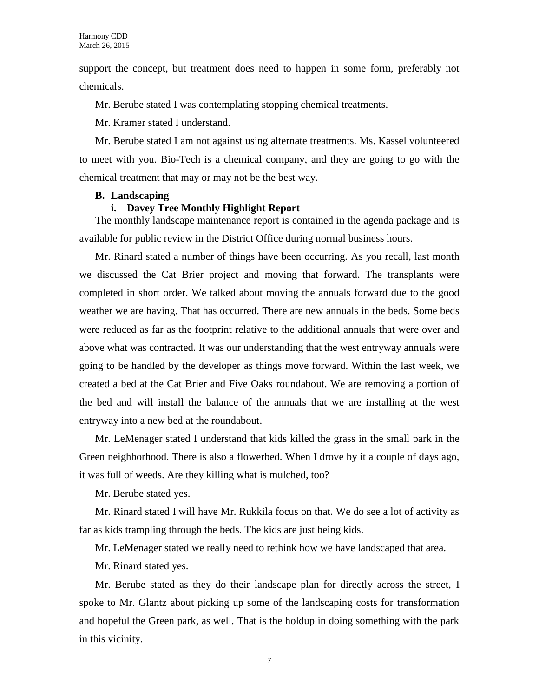support the concept, but treatment does need to happen in some form, preferably not chemicals.

Mr. Berube stated I was contemplating stopping chemical treatments.

Mr. Kramer stated I understand.

Mr. Berube stated I am not against using alternate treatments. Ms. Kassel volunteered to meet with you. Bio-Tech is a chemical company, and they are going to go with the chemical treatment that may or may not be the best way.

#### **B. Landscaping**

#### **i. Davey Tree Monthly Highlight Report**

The monthly landscape maintenance report is contained in the agenda package and is available for public review in the District Office during normal business hours.

Mr. Rinard stated a number of things have been occurring. As you recall, last month we discussed the Cat Brier project and moving that forward. The transplants were completed in short order. We talked about moving the annuals forward due to the good weather we are having. That has occurred. There are new annuals in the beds. Some beds were reduced as far as the footprint relative to the additional annuals that were over and above what was contracted. It was our understanding that the west entryway annuals were going to be handled by the developer as things move forward. Within the last week, we created a bed at the Cat Brier and Five Oaks roundabout. We are removing a portion of the bed and will install the balance of the annuals that we are installing at the west entryway into a new bed at the roundabout.

Mr. LeMenager stated I understand that kids killed the grass in the small park in the Green neighborhood. There is also a flowerbed. When I drove by it a couple of days ago, it was full of weeds. Are they killing what is mulched, too?

Mr. Berube stated yes.

Mr. Rinard stated I will have Mr. Rukkila focus on that. We do see a lot of activity as far as kids trampling through the beds. The kids are just being kids.

Mr. LeMenager stated we really need to rethink how we have landscaped that area.

Mr. Rinard stated yes.

Mr. Berube stated as they do their landscape plan for directly across the street, I spoke to Mr. Glantz about picking up some of the landscaping costs for transformation and hopeful the Green park, as well. That is the holdup in doing something with the park in this vicinity.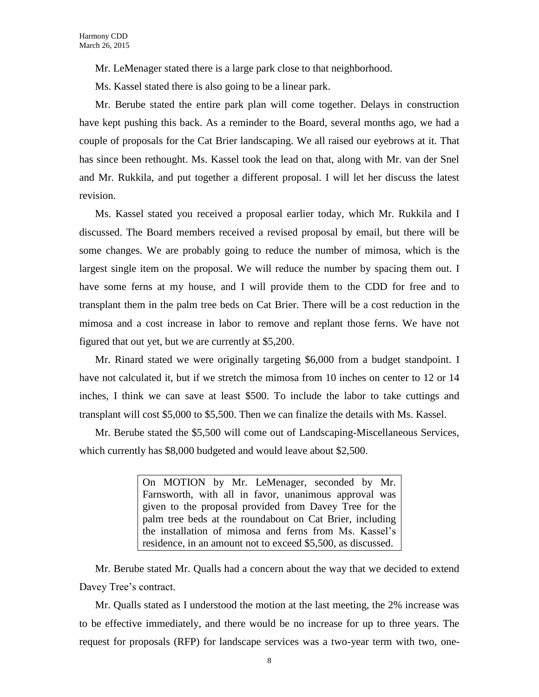Mr. LeMenager stated there is a large park close to that neighborhood.

Ms. Kassel stated there is also going to be a linear park.

Mr. Berube stated the entire park plan will come together. Delays in construction have kept pushing this back. As a reminder to the Board, several months ago, we had a couple of proposals for the Cat Brier landscaping. We all raised our eyebrows at it. That has since been rethought. Ms. Kassel took the lead on that, along with Mr. van der Snel and Mr. Rukkila, and put together a different proposal. I will let her discuss the latest revision.

Ms. Kassel stated you received a proposal earlier today, which Mr. Rukkila and I discussed. The Board members received a revised proposal by email, but there will be some changes. We are probably going to reduce the number of mimosa, which is the largest single item on the proposal. We will reduce the number by spacing them out. I have some ferns at my house, and I will provide them to the CDD for free and to transplant them in the palm tree beds on Cat Brier. There will be a cost reduction in the mimosa and a cost increase in labor to remove and replant those ferns. We have not figured that out yet, but we are currently at \$5,200.

Mr. Rinard stated we were originally targeting \$6,000 from a budget standpoint. I have not calculated it, but if we stretch the mimosa from 10 inches on center to 12 or 14 inches, I think we can save at least \$500. To include the labor to take cuttings and transplant will cost \$5,000 to \$5,500. Then we can finalize the details with Ms. Kassel.

Mr. Berube stated the \$5,500 will come out of Landscaping-Miscellaneous Services, which currently has \$8,000 budgeted and would leave about \$2,500.

> On MOTION by Mr. LeMenager, seconded by Mr. Farnsworth, with all in favor, unanimous approval was given to the proposal provided from Davey Tree for the palm tree beds at the roundabout on Cat Brier, including the installation of mimosa and ferns from Ms. Kassel's residence, in an amount not to exceed \$5,500, as discussed.

Mr. Berube stated Mr. Qualls had a concern about the way that we decided to extend Davey Tree's contract.

Mr. Qualls stated as I understood the motion at the last meeting, the 2% increase was to be effective immediately, and there would be no increase for up to three years. The request for proposals (RFP) for landscape services was a two-year term with two, one-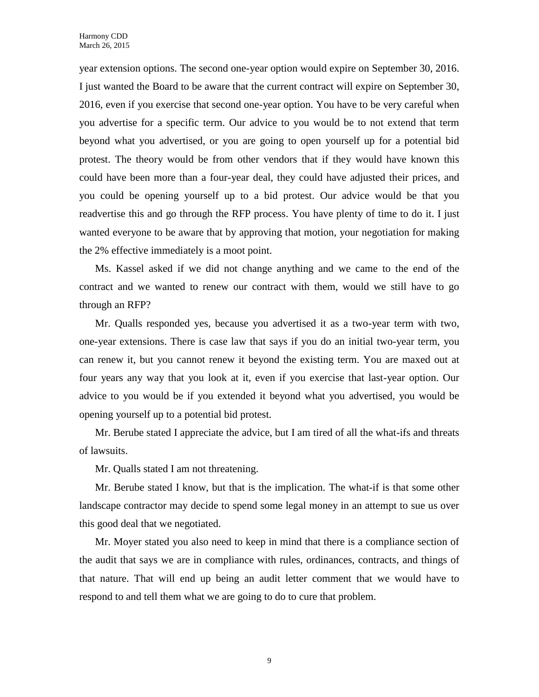year extension options. The second one-year option would expire on September 30, 2016. I just wanted the Board to be aware that the current contract will expire on September 30, 2016, even if you exercise that second one-year option. You have to be very careful when you advertise for a specific term. Our advice to you would be to not extend that term beyond what you advertised, or you are going to open yourself up for a potential bid protest. The theory would be from other vendors that if they would have known this could have been more than a four-year deal, they could have adjusted their prices, and you could be opening yourself up to a bid protest. Our advice would be that you readvertise this and go through the RFP process. You have plenty of time to do it. I just wanted everyone to be aware that by approving that motion, your negotiation for making the 2% effective immediately is a moot point.

Ms. Kassel asked if we did not change anything and we came to the end of the contract and we wanted to renew our contract with them, would we still have to go through an RFP?

Mr. Qualls responded yes, because you advertised it as a two-year term with two, one-year extensions. There is case law that says if you do an initial two-year term, you can renew it, but you cannot renew it beyond the existing term. You are maxed out at four years any way that you look at it, even if you exercise that last-year option. Our advice to you would be if you extended it beyond what you advertised, you would be opening yourself up to a potential bid protest.

Mr. Berube stated I appreciate the advice, but I am tired of all the what-ifs and threats of lawsuits.

Mr. Qualls stated I am not threatening.

Mr. Berube stated I know, but that is the implication. The what-if is that some other landscape contractor may decide to spend some legal money in an attempt to sue us over this good deal that we negotiated.

Mr. Moyer stated you also need to keep in mind that there is a compliance section of the audit that says we are in compliance with rules, ordinances, contracts, and things of that nature. That will end up being an audit letter comment that we would have to respond to and tell them what we are going to do to cure that problem.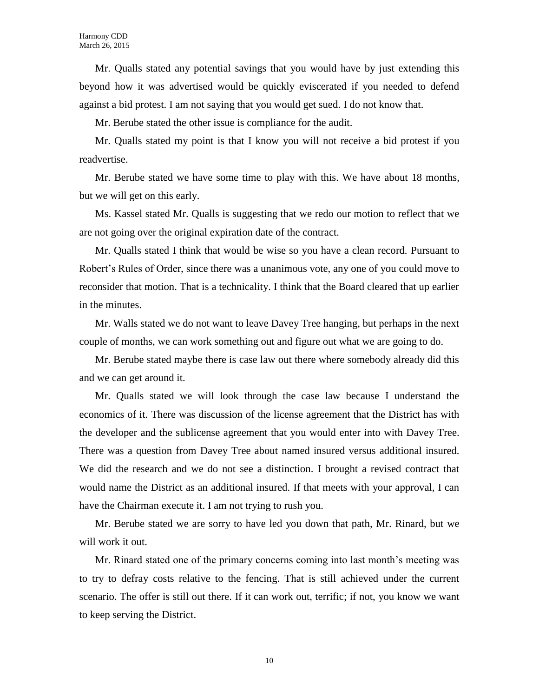Mr. Qualls stated any potential savings that you would have by just extending this beyond how it was advertised would be quickly eviscerated if you needed to defend against a bid protest. I am not saying that you would get sued. I do not know that.

Mr. Berube stated the other issue is compliance for the audit.

Mr. Qualls stated my point is that I know you will not receive a bid protest if you readvertise.

Mr. Berube stated we have some time to play with this. We have about 18 months, but we will get on this early.

Ms. Kassel stated Mr. Qualls is suggesting that we redo our motion to reflect that we are not going over the original expiration date of the contract.

Mr. Qualls stated I think that would be wise so you have a clean record. Pursuant to Robert's Rules of Order, since there was a unanimous vote, any one of you could move to reconsider that motion. That is a technicality. I think that the Board cleared that up earlier in the minutes.

Mr. Walls stated we do not want to leave Davey Tree hanging, but perhaps in the next couple of months, we can work something out and figure out what we are going to do.

Mr. Berube stated maybe there is case law out there where somebody already did this and we can get around it.

Mr. Qualls stated we will look through the case law because I understand the economics of it. There was discussion of the license agreement that the District has with the developer and the sublicense agreement that you would enter into with Davey Tree. There was a question from Davey Tree about named insured versus additional insured. We did the research and we do not see a distinction. I brought a revised contract that would name the District as an additional insured. If that meets with your approval, I can have the Chairman execute it. I am not trying to rush you.

Mr. Berube stated we are sorry to have led you down that path, Mr. Rinard, but we will work it out.

Mr. Rinard stated one of the primary concerns coming into last month's meeting was to try to defray costs relative to the fencing. That is still achieved under the current scenario. The offer is still out there. If it can work out, terrific; if not, you know we want to keep serving the District.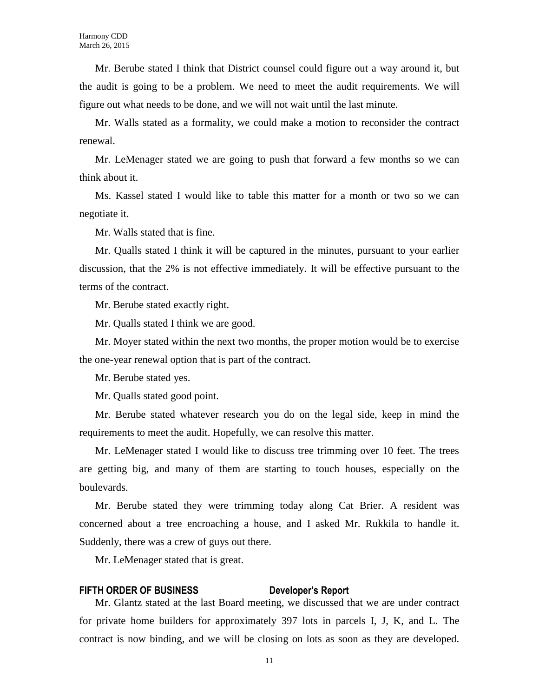Mr. Berube stated I think that District counsel could figure out a way around it, but the audit is going to be a problem. We need to meet the audit requirements. We will figure out what needs to be done, and we will not wait until the last minute.

Mr. Walls stated as a formality, we could make a motion to reconsider the contract renewal.

Mr. LeMenager stated we are going to push that forward a few months so we can think about it.

Ms. Kassel stated I would like to table this matter for a month or two so we can negotiate it.

Mr. Walls stated that is fine.

Mr. Qualls stated I think it will be captured in the minutes, pursuant to your earlier discussion, that the 2% is not effective immediately. It will be effective pursuant to the terms of the contract.

Mr. Berube stated exactly right.

Mr. Qualls stated I think we are good.

Mr. Moyer stated within the next two months, the proper motion would be to exercise the one-year renewal option that is part of the contract.

Mr. Berube stated yes.

Mr. Qualls stated good point.

Mr. Berube stated whatever research you do on the legal side, keep in mind the requirements to meet the audit. Hopefully, we can resolve this matter.

Mr. LeMenager stated I would like to discuss tree trimming over 10 feet. The trees are getting big, and many of them are starting to touch houses, especially on the boulevards.

Mr. Berube stated they were trimming today along Cat Brier. A resident was concerned about a tree encroaching a house, and I asked Mr. Rukkila to handle it. Suddenly, there was a crew of guys out there.

Mr. LeMenager stated that is great.

#### **FIFTH ORDER OF BUSINESS Developer's Report**

Mr. Glantz stated at the last Board meeting, we discussed that we are under contract for private home builders for approximately 397 lots in parcels I, J, K, and L. The contract is now binding, and we will be closing on lots as soon as they are developed.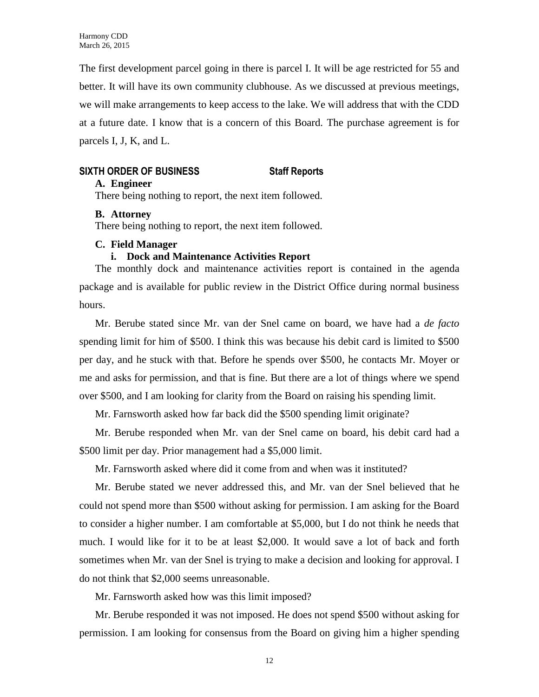The first development parcel going in there is parcel I. It will be age restricted for 55 and better. It will have its own community clubhouse. As we discussed at previous meetings, we will make arrangements to keep access to the lake. We will address that with the CDD at a future date. I know that is a concern of this Board. The purchase agreement is for parcels I, J, K, and L.

# **SIXTH ORDER OF BUSINESS Staff Reports**

# **A. Engineer**

There being nothing to report, the next item followed.

# **B. Attorney**

There being nothing to report, the next item followed.

# **C. Field Manager**

# **i. Dock and Maintenance Activities Report**

The monthly dock and maintenance activities report is contained in the agenda package and is available for public review in the District Office during normal business hours.

Mr. Berube stated since Mr. van der Snel came on board, we have had a *de facto* spending limit for him of \$500. I think this was because his debit card is limited to \$500 per day, and he stuck with that. Before he spends over \$500, he contacts Mr. Moyer or me and asks for permission, and that is fine. But there are a lot of things where we spend over \$500, and I am looking for clarity from the Board on raising his spending limit.

Mr. Farnsworth asked how far back did the \$500 spending limit originate?

Mr. Berube responded when Mr. van der Snel came on board, his debit card had a \$500 limit per day. Prior management had a \$5,000 limit.

Mr. Farnsworth asked where did it come from and when was it instituted?

Mr. Berube stated we never addressed this, and Mr. van der Snel believed that he could not spend more than \$500 without asking for permission. I am asking for the Board to consider a higher number. I am comfortable at \$5,000, but I do not think he needs that much. I would like for it to be at least \$2,000. It would save a lot of back and forth sometimes when Mr. van der Snel is trying to make a decision and looking for approval. I do not think that \$2,000 seems unreasonable.

Mr. Farnsworth asked how was this limit imposed?

Mr. Berube responded it was not imposed. He does not spend \$500 without asking for permission. I am looking for consensus from the Board on giving him a higher spending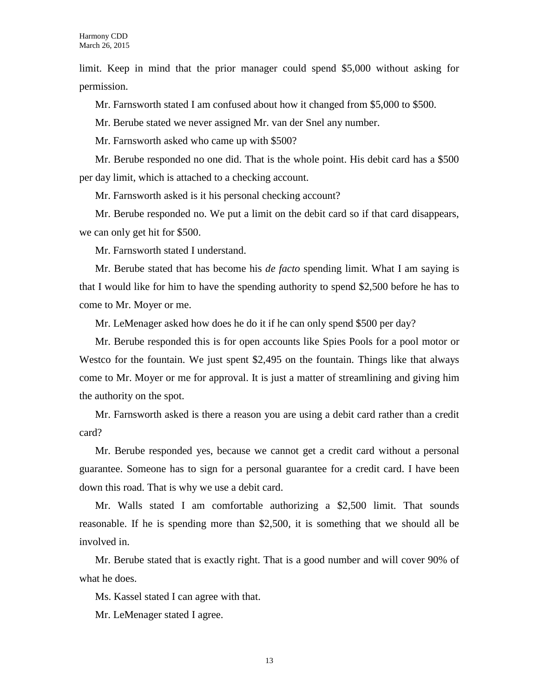limit. Keep in mind that the prior manager could spend \$5,000 without asking for permission.

Mr. Farnsworth stated I am confused about how it changed from \$5,000 to \$500.

Mr. Berube stated we never assigned Mr. van der Snel any number.

Mr. Farnsworth asked who came up with \$500?

Mr. Berube responded no one did. That is the whole point. His debit card has a \$500 per day limit, which is attached to a checking account.

Mr. Farnsworth asked is it his personal checking account?

Mr. Berube responded no. We put a limit on the debit card so if that card disappears, we can only get hit for \$500.

Mr. Farnsworth stated I understand.

Mr. Berube stated that has become his *de facto* spending limit. What I am saying is that I would like for him to have the spending authority to spend \$2,500 before he has to come to Mr. Moyer or me.

Mr. LeMenager asked how does he do it if he can only spend \$500 per day?

Mr. Berube responded this is for open accounts like Spies Pools for a pool motor or Westco for the fountain. We just spent \$2,495 on the fountain. Things like that always come to Mr. Moyer or me for approval. It is just a matter of streamlining and giving him the authority on the spot.

Mr. Farnsworth asked is there a reason you are using a debit card rather than a credit card?

Mr. Berube responded yes, because we cannot get a credit card without a personal guarantee. Someone has to sign for a personal guarantee for a credit card. I have been down this road. That is why we use a debit card.

Mr. Walls stated I am comfortable authorizing a \$2,500 limit. That sounds reasonable. If he is spending more than \$2,500, it is something that we should all be involved in.

Mr. Berube stated that is exactly right. That is a good number and will cover 90% of what he does.

Ms. Kassel stated I can agree with that.

Mr. LeMenager stated I agree.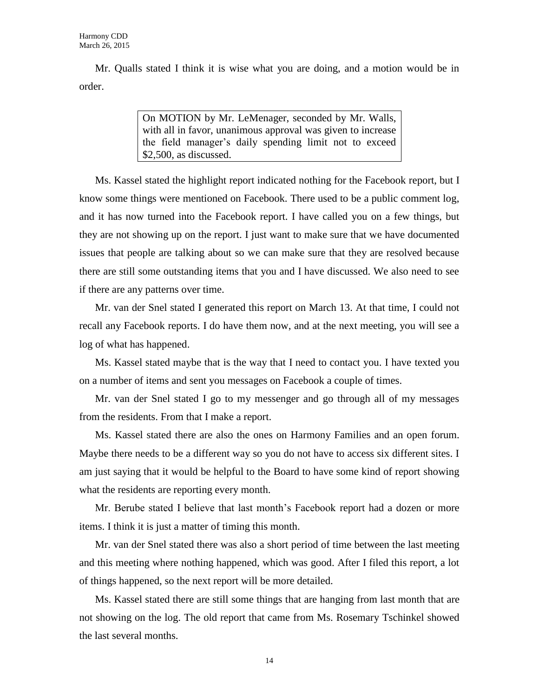Mr. Qualls stated I think it is wise what you are doing, and a motion would be in order.

> On MOTION by Mr. LeMenager, seconded by Mr. Walls, with all in favor, unanimous approval was given to increase the field manager's daily spending limit not to exceed \$2,500, as discussed.

Ms. Kassel stated the highlight report indicated nothing for the Facebook report, but I know some things were mentioned on Facebook. There used to be a public comment log, and it has now turned into the Facebook report. I have called you on a few things, but they are not showing up on the report. I just want to make sure that we have documented issues that people are talking about so we can make sure that they are resolved because there are still some outstanding items that you and I have discussed. We also need to see if there are any patterns over time.

Mr. van der Snel stated I generated this report on March 13. At that time, I could not recall any Facebook reports. I do have them now, and at the next meeting, you will see a log of what has happened.

Ms. Kassel stated maybe that is the way that I need to contact you. I have texted you on a number of items and sent you messages on Facebook a couple of times.

Mr. van der Snel stated I go to my messenger and go through all of my messages from the residents. From that I make a report.

Ms. Kassel stated there are also the ones on Harmony Families and an open forum. Maybe there needs to be a different way so you do not have to access six different sites. I am just saying that it would be helpful to the Board to have some kind of report showing what the residents are reporting every month.

Mr. Berube stated I believe that last month's Facebook report had a dozen or more items. I think it is just a matter of timing this month.

Mr. van der Snel stated there was also a short period of time between the last meeting and this meeting where nothing happened, which was good. After I filed this report, a lot of things happened, so the next report will be more detailed.

Ms. Kassel stated there are still some things that are hanging from last month that are not showing on the log. The old report that came from Ms. Rosemary Tschinkel showed the last several months.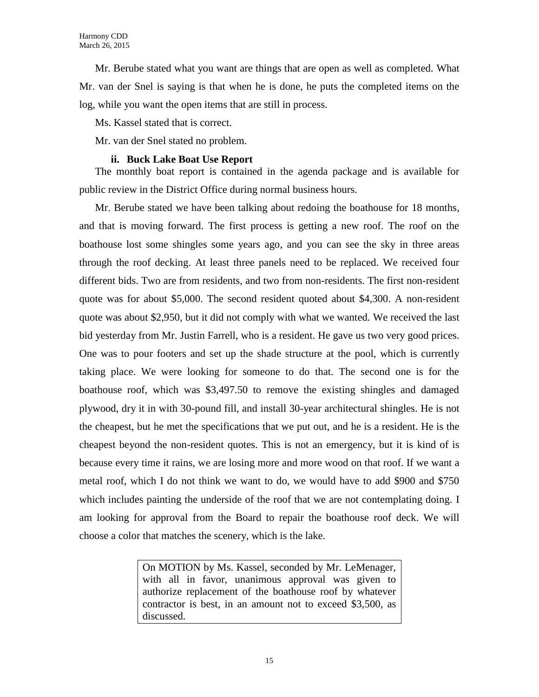Mr. Berube stated what you want are things that are open as well as completed. What Mr. van der Snel is saying is that when he is done, he puts the completed items on the log, while you want the open items that are still in process.

Ms. Kassel stated that is correct.

Mr. van der Snel stated no problem.

## **ii. Buck Lake Boat Use Report**

The monthly boat report is contained in the agenda package and is available for public review in the District Office during normal business hours.

Mr. Berube stated we have been talking about redoing the boathouse for 18 months, and that is moving forward. The first process is getting a new roof. The roof on the boathouse lost some shingles some years ago, and you can see the sky in three areas through the roof decking. At least three panels need to be replaced. We received four different bids. Two are from residents, and two from non-residents. The first non-resident quote was for about \$5,000. The second resident quoted about \$4,300. A non-resident quote was about \$2,950, but it did not comply with what we wanted. We received the last bid yesterday from Mr. Justin Farrell, who is a resident. He gave us two very good prices. One was to pour footers and set up the shade structure at the pool, which is currently taking place. We were looking for someone to do that. The second one is for the boathouse roof, which was \$3,497.50 to remove the existing shingles and damaged plywood, dry it in with 30-pound fill, and install 30-year architectural shingles. He is not the cheapest, but he met the specifications that we put out, and he is a resident. He is the cheapest beyond the non-resident quotes. This is not an emergency, but it is kind of is because every time it rains, we are losing more and more wood on that roof. If we want a metal roof, which I do not think we want to do, we would have to add \$900 and \$750 which includes painting the underside of the roof that we are not contemplating doing. I am looking for approval from the Board to repair the boathouse roof deck. We will choose a color that matches the scenery, which is the lake.

> On MOTION by Ms. Kassel, seconded by Mr. LeMenager, with all in favor, unanimous approval was given to authorize replacement of the boathouse roof by whatever contractor is best, in an amount not to exceed \$3,500, as discussed.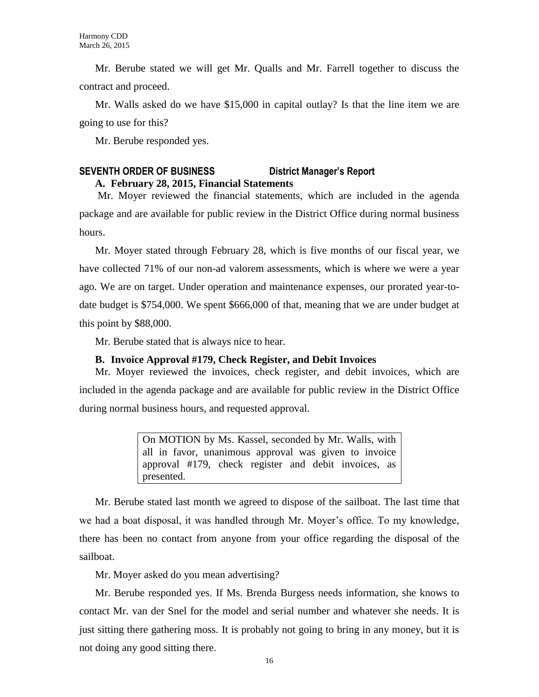Mr. Berube stated we will get Mr. Qualls and Mr. Farrell together to discuss the contract and proceed.

Mr. Walls asked do we have \$15,000 in capital outlay? Is that the line item we are going to use for this?

Mr. Berube responded yes.

# **SEVENTH ORDER OF BUSINESS District Manager's Report A. February 28, 2015, Financial Statements**

Mr. Moyer reviewed the financial statements, which are included in the agenda package and are available for public review in the District Office during normal business hours.

Mr. Moyer stated through February 28, which is five months of our fiscal year, we have collected 71% of our non-ad valorem assessments, which is where we were a year ago. We are on target. Under operation and maintenance expenses, our prorated year-todate budget is \$754,000. We spent \$666,000 of that, meaning that we are under budget at this point by \$88,000.

Mr. Berube stated that is always nice to hear.

# **B. Invoice Approval #179, Check Register, and Debit Invoices**

Mr. Moyer reviewed the invoices, check register, and debit invoices, which are included in the agenda package and are available for public review in the District Office during normal business hours, and requested approval.

> On MOTION by Ms. Kassel, seconded by Mr. Walls, with all in favor, unanimous approval was given to invoice approval #179, check register and debit invoices, as presented.

Mr. Berube stated last month we agreed to dispose of the sailboat. The last time that we had a boat disposal, it was handled through Mr. Moyer's office. To my knowledge, there has been no contact from anyone from your office regarding the disposal of the sailboat.

Mr. Moyer asked do you mean advertising?

Mr. Berube responded yes. If Ms. Brenda Burgess needs information, she knows to contact Mr. van der Snel for the model and serial number and whatever she needs. It is just sitting there gathering moss. It is probably not going to bring in any money, but it is not doing any good sitting there.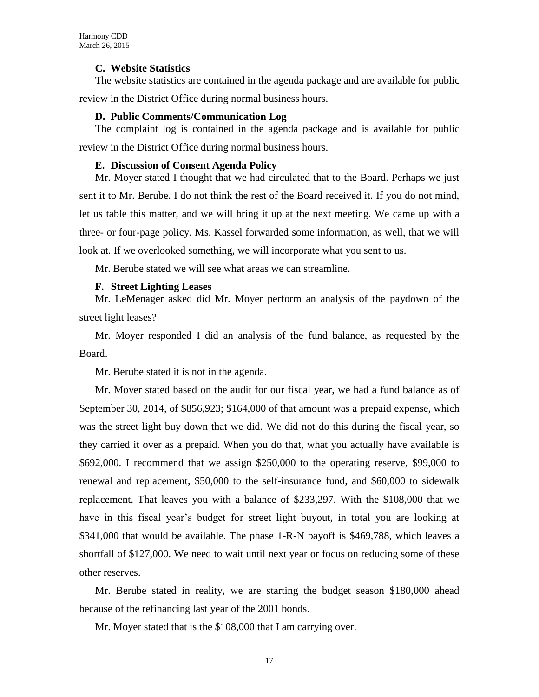#### **C. Website Statistics**

The website statistics are contained in the agenda package and are available for public

review in the District Office during normal business hours.

### **D. Public Comments/Communication Log**

The complaint log is contained in the agenda package and is available for public review in the District Office during normal business hours.

#### **E. Discussion of Consent Agenda Policy**

Mr. Moyer stated I thought that we had circulated that to the Board. Perhaps we just sent it to Mr. Berube. I do not think the rest of the Board received it. If you do not mind, let us table this matter, and we will bring it up at the next meeting. We came up with a three- or four-page policy. Ms. Kassel forwarded some information, as well, that we will look at. If we overlooked something, we will incorporate what you sent to us.

Mr. Berube stated we will see what areas we can streamline.

#### **F. Street Lighting Leases**

Mr. LeMenager asked did Mr. Moyer perform an analysis of the paydown of the street light leases?

Mr. Moyer responded I did an analysis of the fund balance, as requested by the Board.

Mr. Berube stated it is not in the agenda.

Mr. Moyer stated based on the audit for our fiscal year, we had a fund balance as of September 30, 2014, of \$856,923; \$164,000 of that amount was a prepaid expense, which was the street light buy down that we did. We did not do this during the fiscal year, so they carried it over as a prepaid. When you do that, what you actually have available is \$692,000. I recommend that we assign \$250,000 to the operating reserve, \$99,000 to renewal and replacement, \$50,000 to the self-insurance fund, and \$60,000 to sidewalk replacement. That leaves you with a balance of \$233,297. With the \$108,000 that we have in this fiscal year's budget for street light buyout, in total you are looking at \$341,000 that would be available. The phase 1-R-N payoff is \$469,788, which leaves a shortfall of \$127,000. We need to wait until next year or focus on reducing some of these other reserves.

Mr. Berube stated in reality, we are starting the budget season \$180,000 ahead because of the refinancing last year of the 2001 bonds.

Mr. Moyer stated that is the \$108,000 that I am carrying over.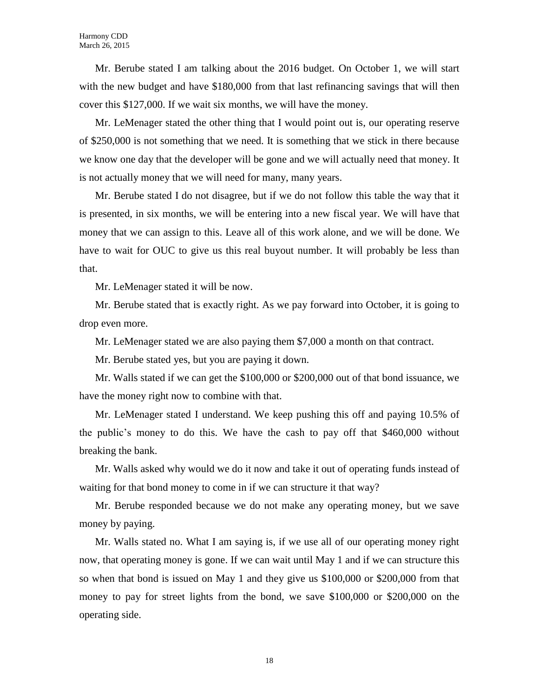Mr. Berube stated I am talking about the 2016 budget. On October 1, we will start with the new budget and have \$180,000 from that last refinancing savings that will then cover this \$127,000. If we wait six months, we will have the money.

Mr. LeMenager stated the other thing that I would point out is, our operating reserve of \$250,000 is not something that we need. It is something that we stick in there because we know one day that the developer will be gone and we will actually need that money. It is not actually money that we will need for many, many years.

Mr. Berube stated I do not disagree, but if we do not follow this table the way that it is presented, in six months, we will be entering into a new fiscal year. We will have that money that we can assign to this. Leave all of this work alone, and we will be done. We have to wait for OUC to give us this real buyout number. It will probably be less than that.

Mr. LeMenager stated it will be now.

Mr. Berube stated that is exactly right. As we pay forward into October, it is going to drop even more.

Mr. LeMenager stated we are also paying them \$7,000 a month on that contract.

Mr. Berube stated yes, but you are paying it down.

Mr. Walls stated if we can get the \$100,000 or \$200,000 out of that bond issuance, we have the money right now to combine with that.

Mr. LeMenager stated I understand. We keep pushing this off and paying 10.5% of the public's money to do this. We have the cash to pay off that \$460,000 without breaking the bank.

Mr. Walls asked why would we do it now and take it out of operating funds instead of waiting for that bond money to come in if we can structure it that way?

Mr. Berube responded because we do not make any operating money, but we save money by paying.

Mr. Walls stated no. What I am saying is, if we use all of our operating money right now, that operating money is gone. If we can wait until May 1 and if we can structure this so when that bond is issued on May 1 and they give us \$100,000 or \$200,000 from that money to pay for street lights from the bond, we save \$100,000 or \$200,000 on the operating side.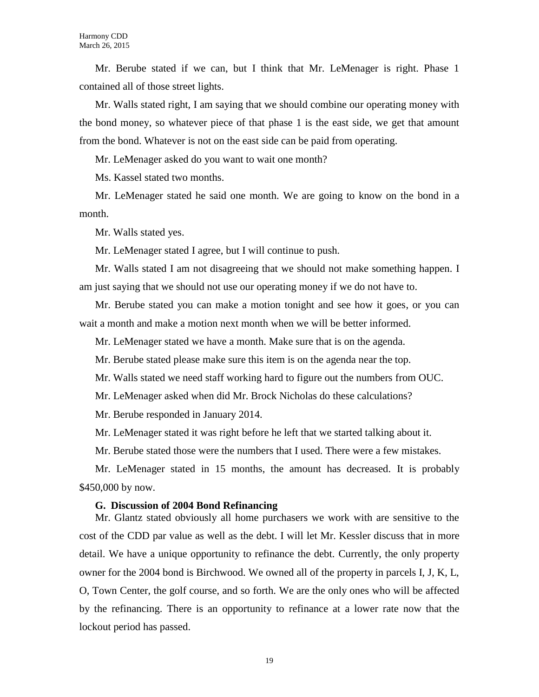Mr. Berube stated if we can, but I think that Mr. LeMenager is right. Phase 1 contained all of those street lights.

Mr. Walls stated right, I am saying that we should combine our operating money with the bond money, so whatever piece of that phase 1 is the east side, we get that amount from the bond. Whatever is not on the east side can be paid from operating.

Mr. LeMenager asked do you want to wait one month?

Ms. Kassel stated two months.

Mr. LeMenager stated he said one month. We are going to know on the bond in a month.

Mr. Walls stated yes.

Mr. LeMenager stated I agree, but I will continue to push.

Mr. Walls stated I am not disagreeing that we should not make something happen. I am just saying that we should not use our operating money if we do not have to.

Mr. Berube stated you can make a motion tonight and see how it goes, or you can wait a month and make a motion next month when we will be better informed.

Mr. LeMenager stated we have a month. Make sure that is on the agenda.

Mr. Berube stated please make sure this item is on the agenda near the top.

Mr. Walls stated we need staff working hard to figure out the numbers from OUC.

Mr. LeMenager asked when did Mr. Brock Nicholas do these calculations?

Mr. Berube responded in January 2014.

Mr. LeMenager stated it was right before he left that we started talking about it.

Mr. Berube stated those were the numbers that I used. There were a few mistakes.

Mr. LeMenager stated in 15 months, the amount has decreased. It is probably \$450,000 by now.

#### **G. Discussion of 2004 Bond Refinancing**

Mr. Glantz stated obviously all home purchasers we work with are sensitive to the cost of the CDD par value as well as the debt. I will let Mr. Kessler discuss that in more detail. We have a unique opportunity to refinance the debt. Currently, the only property owner for the 2004 bond is Birchwood. We owned all of the property in parcels I, J, K, L, O, Town Center, the golf course, and so forth. We are the only ones who will be affected by the refinancing. There is an opportunity to refinance at a lower rate now that the lockout period has passed.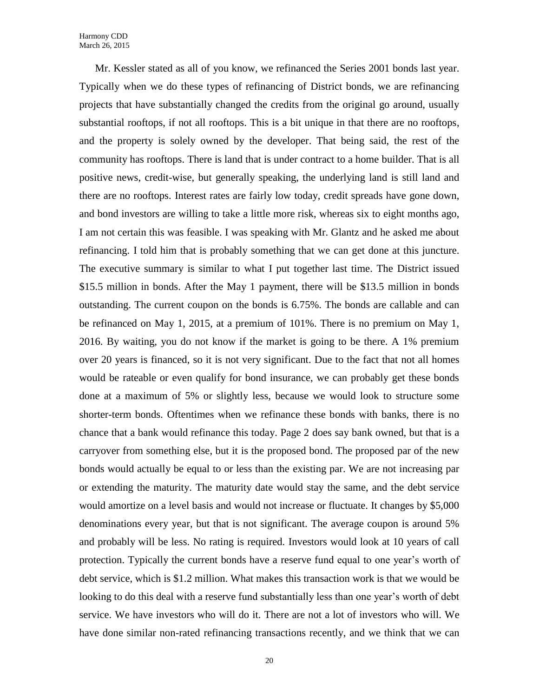Mr. Kessler stated as all of you know, we refinanced the Series 2001 bonds last year. Typically when we do these types of refinancing of District bonds, we are refinancing projects that have substantially changed the credits from the original go around, usually substantial rooftops, if not all rooftops. This is a bit unique in that there are no rooftops, and the property is solely owned by the developer. That being said, the rest of the community has rooftops. There is land that is under contract to a home builder. That is all positive news, credit-wise, but generally speaking, the underlying land is still land and there are no rooftops. Interest rates are fairly low today, credit spreads have gone down, and bond investors are willing to take a little more risk, whereas six to eight months ago, I am not certain this was feasible. I was speaking with Mr. Glantz and he asked me about refinancing. I told him that is probably something that we can get done at this juncture. The executive summary is similar to what I put together last time. The District issued \$15.5 million in bonds. After the May 1 payment, there will be \$13.5 million in bonds outstanding. The current coupon on the bonds is 6.75%. The bonds are callable and can be refinanced on May 1, 2015, at a premium of 101%. There is no premium on May 1, 2016. By waiting, you do not know if the market is going to be there. A 1% premium over 20 years is financed, so it is not very significant. Due to the fact that not all homes would be rateable or even qualify for bond insurance, we can probably get these bonds done at a maximum of 5% or slightly less, because we would look to structure some shorter-term bonds. Oftentimes when we refinance these bonds with banks, there is no chance that a bank would refinance this today. Page 2 does say bank owned, but that is a carryover from something else, but it is the proposed bond. The proposed par of the new bonds would actually be equal to or less than the existing par. We are not increasing par or extending the maturity. The maturity date would stay the same, and the debt service would amortize on a level basis and would not increase or fluctuate. It changes by \$5,000 denominations every year, but that is not significant. The average coupon is around 5% and probably will be less. No rating is required. Investors would look at 10 years of call protection. Typically the current bonds have a reserve fund equal to one year's worth of debt service, which is \$1.2 million. What makes this transaction work is that we would be looking to do this deal with a reserve fund substantially less than one year's worth of debt service. We have investors who will do it. There are not a lot of investors who will. We have done similar non-rated refinancing transactions recently, and we think that we can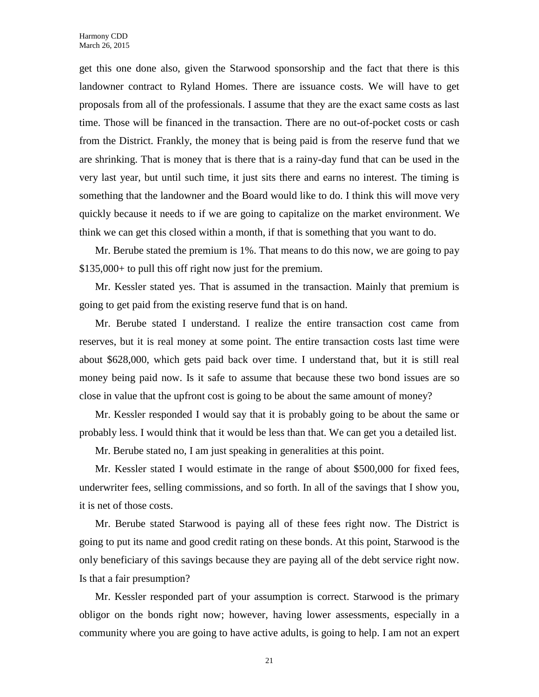get this one done also, given the Starwood sponsorship and the fact that there is this landowner contract to Ryland Homes. There are issuance costs. We will have to get proposals from all of the professionals. I assume that they are the exact same costs as last time. Those will be financed in the transaction. There are no out-of-pocket costs or cash from the District. Frankly, the money that is being paid is from the reserve fund that we are shrinking. That is money that is there that is a rainy-day fund that can be used in the very last year, but until such time, it just sits there and earns no interest. The timing is something that the landowner and the Board would like to do. I think this will move very quickly because it needs to if we are going to capitalize on the market environment. We think we can get this closed within a month, if that is something that you want to do.

Mr. Berube stated the premium is 1%. That means to do this now, we are going to pay \$135,000+ to pull this off right now just for the premium.

Mr. Kessler stated yes. That is assumed in the transaction. Mainly that premium is going to get paid from the existing reserve fund that is on hand.

Mr. Berube stated I understand. I realize the entire transaction cost came from reserves, but it is real money at some point. The entire transaction costs last time were about \$628,000, which gets paid back over time. I understand that, but it is still real money being paid now. Is it safe to assume that because these two bond issues are so close in value that the upfront cost is going to be about the same amount of money?

Mr. Kessler responded I would say that it is probably going to be about the same or probably less. I would think that it would be less than that. We can get you a detailed list.

Mr. Berube stated no, I am just speaking in generalities at this point.

Mr. Kessler stated I would estimate in the range of about \$500,000 for fixed fees, underwriter fees, selling commissions, and so forth. In all of the savings that I show you, it is net of those costs.

Mr. Berube stated Starwood is paying all of these fees right now. The District is going to put its name and good credit rating on these bonds. At this point, Starwood is the only beneficiary of this savings because they are paying all of the debt service right now. Is that a fair presumption?

Mr. Kessler responded part of your assumption is correct. Starwood is the primary obligor on the bonds right now; however, having lower assessments, especially in a community where you are going to have active adults, is going to help. I am not an expert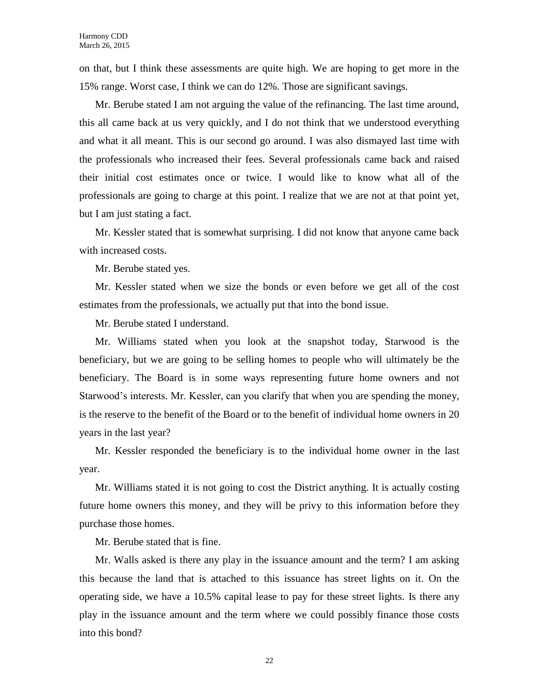on that, but I think these assessments are quite high. We are hoping to get more in the 15% range. Worst case, I think we can do 12%. Those are significant savings.

Mr. Berube stated I am not arguing the value of the refinancing. The last time around, this all came back at us very quickly, and I do not think that we understood everything and what it all meant. This is our second go around. I was also dismayed last time with the professionals who increased their fees. Several professionals came back and raised their initial cost estimates once or twice. I would like to know what all of the professionals are going to charge at this point. I realize that we are not at that point yet, but I am just stating a fact.

Mr. Kessler stated that is somewhat surprising. I did not know that anyone came back with increased costs.

Mr. Berube stated yes.

Mr. Kessler stated when we size the bonds or even before we get all of the cost estimates from the professionals, we actually put that into the bond issue.

Mr. Berube stated I understand.

Mr. Williams stated when you look at the snapshot today, Starwood is the beneficiary, but we are going to be selling homes to people who will ultimately be the beneficiary. The Board is in some ways representing future home owners and not Starwood's interests. Mr. Kessler, can you clarify that when you are spending the money, is the reserve to the benefit of the Board or to the benefit of individual home owners in 20 years in the last year?

Mr. Kessler responded the beneficiary is to the individual home owner in the last year.

Mr. Williams stated it is not going to cost the District anything. It is actually costing future home owners this money, and they will be privy to this information before they purchase those homes.

Mr. Berube stated that is fine.

Mr. Walls asked is there any play in the issuance amount and the term? I am asking this because the land that is attached to this issuance has street lights on it. On the operating side, we have a 10.5% capital lease to pay for these street lights. Is there any play in the issuance amount and the term where we could possibly finance those costs into this bond?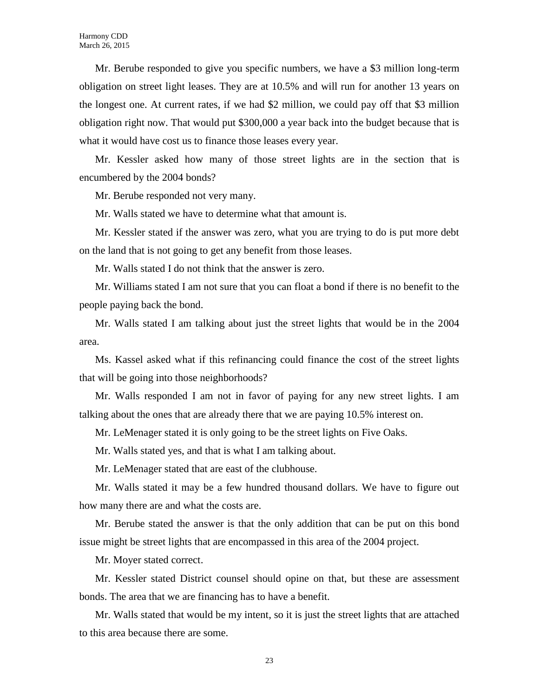Mr. Berube responded to give you specific numbers, we have a \$3 million long-term obligation on street light leases. They are at 10.5% and will run for another 13 years on the longest one. At current rates, if we had \$2 million, we could pay off that \$3 million obligation right now. That would put \$300,000 a year back into the budget because that is what it would have cost us to finance those leases every year.

Mr. Kessler asked how many of those street lights are in the section that is encumbered by the 2004 bonds?

Mr. Berube responded not very many.

Mr. Walls stated we have to determine what that amount is.

Mr. Kessler stated if the answer was zero, what you are trying to do is put more debt on the land that is not going to get any benefit from those leases.

Mr. Walls stated I do not think that the answer is zero.

Mr. Williams stated I am not sure that you can float a bond if there is no benefit to the people paying back the bond.

Mr. Walls stated I am talking about just the street lights that would be in the 2004 area.

Ms. Kassel asked what if this refinancing could finance the cost of the street lights that will be going into those neighborhoods?

Mr. Walls responded I am not in favor of paying for any new street lights. I am talking about the ones that are already there that we are paying 10.5% interest on.

Mr. LeMenager stated it is only going to be the street lights on Five Oaks.

Mr. Walls stated yes, and that is what I am talking about.

Mr. LeMenager stated that are east of the clubhouse.

Mr. Walls stated it may be a few hundred thousand dollars. We have to figure out how many there are and what the costs are.

Mr. Berube stated the answer is that the only addition that can be put on this bond issue might be street lights that are encompassed in this area of the 2004 project.

Mr. Moyer stated correct.

Mr. Kessler stated District counsel should opine on that, but these are assessment bonds. The area that we are financing has to have a benefit.

Mr. Walls stated that would be my intent, so it is just the street lights that are attached to this area because there are some.

23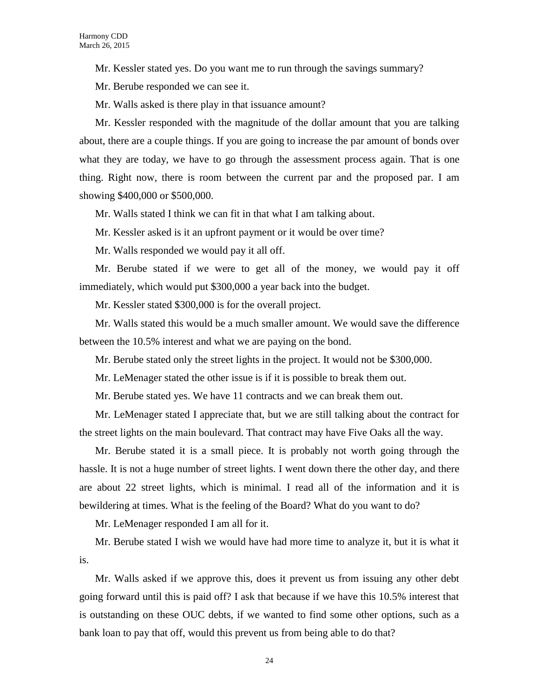Mr. Kessler stated yes. Do you want me to run through the savings summary?

Mr. Berube responded we can see it.

Mr. Walls asked is there play in that issuance amount?

Mr. Kessler responded with the magnitude of the dollar amount that you are talking about, there are a couple things. If you are going to increase the par amount of bonds over what they are today, we have to go through the assessment process again. That is one thing. Right now, there is room between the current par and the proposed par. I am showing \$400,000 or \$500,000.

Mr. Walls stated I think we can fit in that what I am talking about.

Mr. Kessler asked is it an upfront payment or it would be over time?

Mr. Walls responded we would pay it all off.

Mr. Berube stated if we were to get all of the money, we would pay it off immediately, which would put \$300,000 a year back into the budget.

Mr. Kessler stated \$300,000 is for the overall project.

Mr. Walls stated this would be a much smaller amount. We would save the difference between the 10.5% interest and what we are paying on the bond.

Mr. Berube stated only the street lights in the project. It would not be \$300,000.

Mr. LeMenager stated the other issue is if it is possible to break them out.

Mr. Berube stated yes. We have 11 contracts and we can break them out.

Mr. LeMenager stated I appreciate that, but we are still talking about the contract for the street lights on the main boulevard. That contract may have Five Oaks all the way.

Mr. Berube stated it is a small piece. It is probably not worth going through the hassle. It is not a huge number of street lights. I went down there the other day, and there are about 22 street lights, which is minimal. I read all of the information and it is bewildering at times. What is the feeling of the Board? What do you want to do?

Mr. LeMenager responded I am all for it.

Mr. Berube stated I wish we would have had more time to analyze it, but it is what it is.

Mr. Walls asked if we approve this, does it prevent us from issuing any other debt going forward until this is paid off? I ask that because if we have this 10.5% interest that is outstanding on these OUC debts, if we wanted to find some other options, such as a bank loan to pay that off, would this prevent us from being able to do that?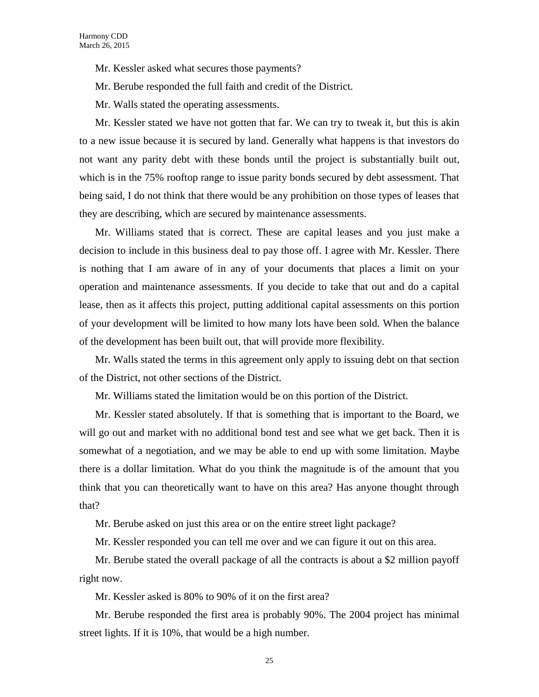- Mr. Kessler asked what secures those payments?
- Mr. Berube responded the full faith and credit of the District.
- Mr. Walls stated the operating assessments.

Mr. Kessler stated we have not gotten that far. We can try to tweak it, but this is akin to a new issue because it is secured by land. Generally what happens is that investors do not want any parity debt with these bonds until the project is substantially built out, which is in the 75% rooftop range to issue parity bonds secured by debt assessment. That being said, I do not think that there would be any prohibition on those types of leases that they are describing, which are secured by maintenance assessments.

Mr. Williams stated that is correct. These are capital leases and you just make a decision to include in this business deal to pay those off. I agree with Mr. Kessler. There is nothing that I am aware of in any of your documents that places a limit on your operation and maintenance assessments. If you decide to take that out and do a capital lease, then as it affects this project, putting additional capital assessments on this portion of your development will be limited to how many lots have been sold. When the balance of the development has been built out, that will provide more flexibility.

Mr. Walls stated the terms in this agreement only apply to issuing debt on that section of the District, not other sections of the District.

Mr. Williams stated the limitation would be on this portion of the District.

Mr. Kessler stated absolutely. If that is something that is important to the Board, we will go out and market with no additional bond test and see what we get back. Then it is somewhat of a negotiation, and we may be able to end up with some limitation. Maybe there is a dollar limitation. What do you think the magnitude is of the amount that you think that you can theoretically want to have on this area? Has anyone thought through that?

Mr. Berube asked on just this area or on the entire street light package?

Mr. Kessler responded you can tell me over and we can figure it out on this area.

Mr. Berube stated the overall package of all the contracts is about a \$2 million payoff right now.

Mr. Kessler asked is 80% to 90% of it on the first area?

Mr. Berube responded the first area is probably 90%. The 2004 project has minimal street lights. If it is 10%, that would be a high number.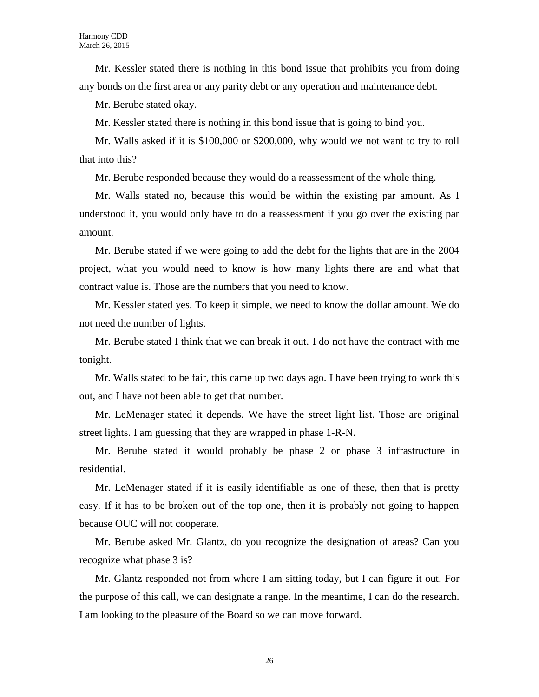Mr. Kessler stated there is nothing in this bond issue that prohibits you from doing any bonds on the first area or any parity debt or any operation and maintenance debt.

Mr. Berube stated okay.

Mr. Kessler stated there is nothing in this bond issue that is going to bind you.

Mr. Walls asked if it is \$100,000 or \$200,000, why would we not want to try to roll that into this?

Mr. Berube responded because they would do a reassessment of the whole thing.

Mr. Walls stated no, because this would be within the existing par amount. As I understood it, you would only have to do a reassessment if you go over the existing par amount.

Mr. Berube stated if we were going to add the debt for the lights that are in the 2004 project, what you would need to know is how many lights there are and what that contract value is. Those are the numbers that you need to know.

Mr. Kessler stated yes. To keep it simple, we need to know the dollar amount. We do not need the number of lights.

Mr. Berube stated I think that we can break it out. I do not have the contract with me tonight.

Mr. Walls stated to be fair, this came up two days ago. I have been trying to work this out, and I have not been able to get that number.

Mr. LeMenager stated it depends. We have the street light list. Those are original street lights. I am guessing that they are wrapped in phase 1-R-N.

Mr. Berube stated it would probably be phase 2 or phase 3 infrastructure in residential.

Mr. LeMenager stated if it is easily identifiable as one of these, then that is pretty easy. If it has to be broken out of the top one, then it is probably not going to happen because OUC will not cooperate.

Mr. Berube asked Mr. Glantz, do you recognize the designation of areas? Can you recognize what phase 3 is?

Mr. Glantz responded not from where I am sitting today, but I can figure it out. For the purpose of this call, we can designate a range. In the meantime, I can do the research. I am looking to the pleasure of the Board so we can move forward.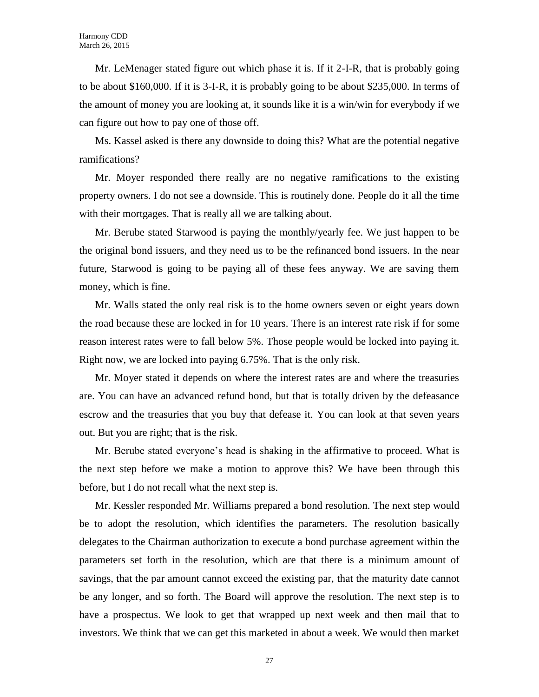Mr. LeMenager stated figure out which phase it is. If it 2-I-R, that is probably going to be about \$160,000. If it is 3-I-R, it is probably going to be about \$235,000. In terms of the amount of money you are looking at, it sounds like it is a win/win for everybody if we can figure out how to pay one of those off.

Ms. Kassel asked is there any downside to doing this? What are the potential negative ramifications?

Mr. Moyer responded there really are no negative ramifications to the existing property owners. I do not see a downside. This is routinely done. People do it all the time with their mortgages. That is really all we are talking about.

Mr. Berube stated Starwood is paying the monthly/yearly fee. We just happen to be the original bond issuers, and they need us to be the refinanced bond issuers. In the near future, Starwood is going to be paying all of these fees anyway. We are saving them money, which is fine.

Mr. Walls stated the only real risk is to the home owners seven or eight years down the road because these are locked in for 10 years. There is an interest rate risk if for some reason interest rates were to fall below 5%. Those people would be locked into paying it. Right now, we are locked into paying 6.75%. That is the only risk.

Mr. Moyer stated it depends on where the interest rates are and where the treasuries are. You can have an advanced refund bond, but that is totally driven by the defeasance escrow and the treasuries that you buy that defease it. You can look at that seven years out. But you are right; that is the risk.

Mr. Berube stated everyone's head is shaking in the affirmative to proceed. What is the next step before we make a motion to approve this? We have been through this before, but I do not recall what the next step is.

Mr. Kessler responded Mr. Williams prepared a bond resolution. The next step would be to adopt the resolution, which identifies the parameters. The resolution basically delegates to the Chairman authorization to execute a bond purchase agreement within the parameters set forth in the resolution, which are that there is a minimum amount of savings, that the par amount cannot exceed the existing par, that the maturity date cannot be any longer, and so forth. The Board will approve the resolution. The next step is to have a prospectus. We look to get that wrapped up next week and then mail that to investors. We think that we can get this marketed in about a week. We would then market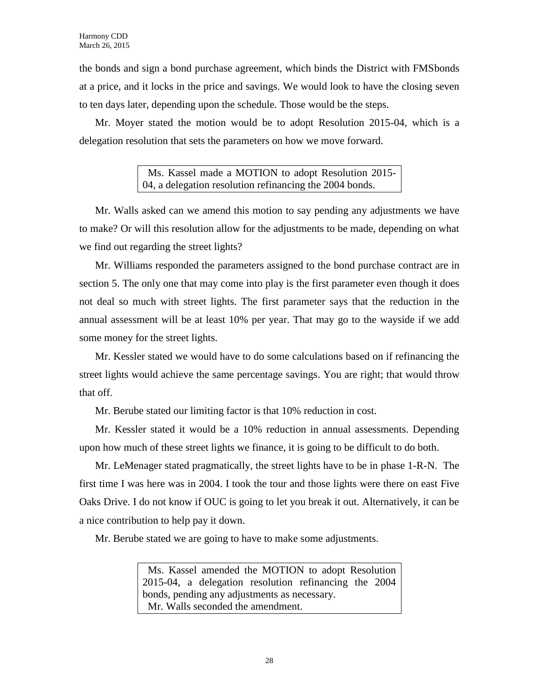the bonds and sign a bond purchase agreement, which binds the District with FMSbonds at a price, and it locks in the price and savings. We would look to have the closing seven to ten days later, depending upon the schedule. Those would be the steps.

Mr. Moyer stated the motion would be to adopt Resolution 2015-04, which is a delegation resolution that sets the parameters on how we move forward.

> Ms. Kassel made a MOTION to adopt Resolution 2015- 04, a delegation resolution refinancing the 2004 bonds.

Mr. Walls asked can we amend this motion to say pending any adjustments we have to make? Or will this resolution allow for the adjustments to be made, depending on what we find out regarding the street lights?

Mr. Williams responded the parameters assigned to the bond purchase contract are in section 5. The only one that may come into play is the first parameter even though it does not deal so much with street lights. The first parameter says that the reduction in the annual assessment will be at least 10% per year. That may go to the wayside if we add some money for the street lights.

Mr. Kessler stated we would have to do some calculations based on if refinancing the street lights would achieve the same percentage savings. You are right; that would throw that off.

Mr. Berube stated our limiting factor is that 10% reduction in cost.

Mr. Kessler stated it would be a 10% reduction in annual assessments. Depending upon how much of these street lights we finance, it is going to be difficult to do both.

Mr. LeMenager stated pragmatically, the street lights have to be in phase 1-R-N. The first time I was here was in 2004. I took the tour and those lights were there on east Five Oaks Drive. I do not know if OUC is going to let you break it out. Alternatively, it can be a nice contribution to help pay it down.

Mr. Berube stated we are going to have to make some adjustments.

 Ms. Kassel amended the MOTION to adopt Resolution 2015-04, a delegation resolution refinancing the 2004 bonds, pending any adjustments as necessary. Mr. Walls seconded the amendment.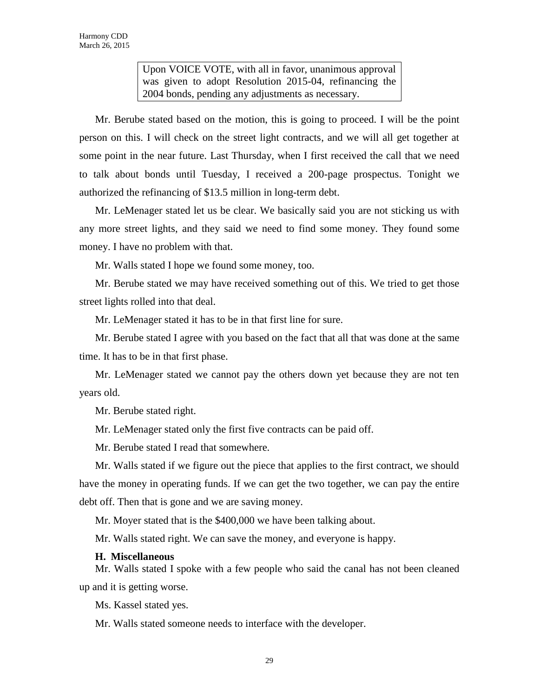Upon VOICE VOTE, with all in favor, unanimous approval was given to adopt Resolution 2015-04, refinancing the 2004 bonds, pending any adjustments as necessary.

Mr. Berube stated based on the motion, this is going to proceed. I will be the point person on this. I will check on the street light contracts, and we will all get together at some point in the near future. Last Thursday, when I first received the call that we need to talk about bonds until Tuesday, I received a 200-page prospectus. Tonight we authorized the refinancing of \$13.5 million in long-term debt.

Mr. LeMenager stated let us be clear. We basically said you are not sticking us with any more street lights, and they said we need to find some money. They found some money. I have no problem with that.

Mr. Walls stated I hope we found some money, too.

Mr. Berube stated we may have received something out of this. We tried to get those street lights rolled into that deal.

Mr. LeMenager stated it has to be in that first line for sure.

Mr. Berube stated I agree with you based on the fact that all that was done at the same time. It has to be in that first phase.

Mr. LeMenager stated we cannot pay the others down yet because they are not ten years old.

Mr. Berube stated right.

Mr. LeMenager stated only the first five contracts can be paid off.

Mr. Berube stated I read that somewhere.

Mr. Walls stated if we figure out the piece that applies to the first contract, we should have the money in operating funds. If we can get the two together, we can pay the entire debt off. Then that is gone and we are saving money.

Mr. Moyer stated that is the \$400,000 we have been talking about.

Mr. Walls stated right. We can save the money, and everyone is happy.

#### **H. Miscellaneous**

Mr. Walls stated I spoke with a few people who said the canal has not been cleaned up and it is getting worse.

Ms. Kassel stated yes.

Mr. Walls stated someone needs to interface with the developer.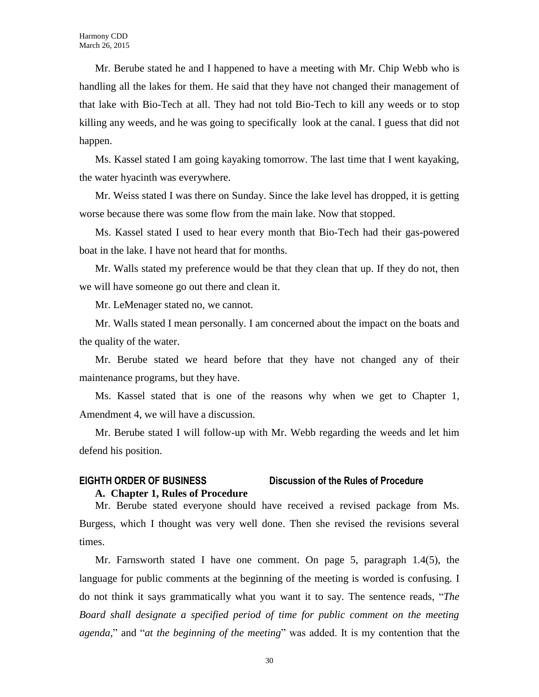Mr. Berube stated he and I happened to have a meeting with Mr. Chip Webb who is handling all the lakes for them. He said that they have not changed their management of that lake with Bio-Tech at all. They had not told Bio-Tech to kill any weeds or to stop killing any weeds, and he was going to specifically look at the canal. I guess that did not happen.

Ms. Kassel stated I am going kayaking tomorrow. The last time that I went kayaking, the water hyacinth was everywhere.

Mr. Weiss stated I was there on Sunday. Since the lake level has dropped, it is getting worse because there was some flow from the main lake. Now that stopped.

Ms. Kassel stated I used to hear every month that Bio-Tech had their gas-powered boat in the lake. I have not heard that for months.

Mr. Walls stated my preference would be that they clean that up. If they do not, then we will have someone go out there and clean it.

Mr. LeMenager stated no, we cannot.

Mr. Walls stated I mean personally. I am concerned about the impact on the boats and the quality of the water.

Mr. Berube stated we heard before that they have not changed any of their maintenance programs, but they have.

Ms. Kassel stated that is one of the reasons why when we get to Chapter 1, Amendment 4, we will have a discussion.

Mr. Berube stated I will follow-up with Mr. Webb regarding the weeds and let him defend his position.

# **EIGHTH ORDER OF BUSINESS Discussion of the Rules of Procedure A. Chapter 1, Rules of Procedure**

Mr. Berube stated everyone should have received a revised package from Ms. Burgess, which I thought was very well done. Then she revised the revisions several times.

Mr. Farnsworth stated I have one comment. On page 5, paragraph 1.4(5), the language for public comments at the beginning of the meeting is worded is confusing. I do not think it says grammatically what you want it to say. The sentence reads, "*The Board shall designate a specified period of time for public comment on the meeting agenda,*" and "*at the beginning of the meeting*" was added. It is my contention that the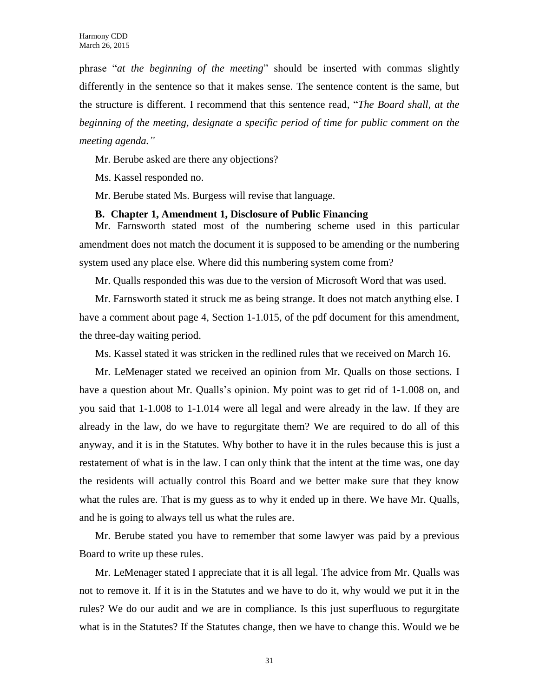phrase "*at the beginning of the meeting*" should be inserted with commas slightly differently in the sentence so that it makes sense. The sentence content is the same, but the structure is different. I recommend that this sentence read, "*The Board shall, at the beginning of the meeting, designate a specific period of time for public comment on the meeting agenda."* 

Mr. Berube asked are there any objections?

Ms. Kassel responded no.

Mr. Berube stated Ms. Burgess will revise that language.

#### **B. Chapter 1, Amendment 1, Disclosure of Public Financing**

Mr. Farnsworth stated most of the numbering scheme used in this particular amendment does not match the document it is supposed to be amending or the numbering system used any place else. Where did this numbering system come from?

Mr. Qualls responded this was due to the version of Microsoft Word that was used.

Mr. Farnsworth stated it struck me as being strange. It does not match anything else. I have a comment about page 4, Section 1-1.015, of the pdf document for this amendment, the three-day waiting period.

Ms. Kassel stated it was stricken in the redlined rules that we received on March 16.

Mr. LeMenager stated we received an opinion from Mr. Qualls on those sections. I have a question about Mr. Qualls's opinion. My point was to get rid of 1-1.008 on, and you said that 1-1.008 to 1-1.014 were all legal and were already in the law. If they are already in the law, do we have to regurgitate them? We are required to do all of this anyway, and it is in the Statutes. Why bother to have it in the rules because this is just a restatement of what is in the law. I can only think that the intent at the time was, one day the residents will actually control this Board and we better make sure that they know what the rules are. That is my guess as to why it ended up in there. We have Mr. Qualls, and he is going to always tell us what the rules are.

Mr. Berube stated you have to remember that some lawyer was paid by a previous Board to write up these rules.

Mr. LeMenager stated I appreciate that it is all legal. The advice from Mr. Qualls was not to remove it. If it is in the Statutes and we have to do it, why would we put it in the rules? We do our audit and we are in compliance. Is this just superfluous to regurgitate what is in the Statutes? If the Statutes change, then we have to change this. Would we be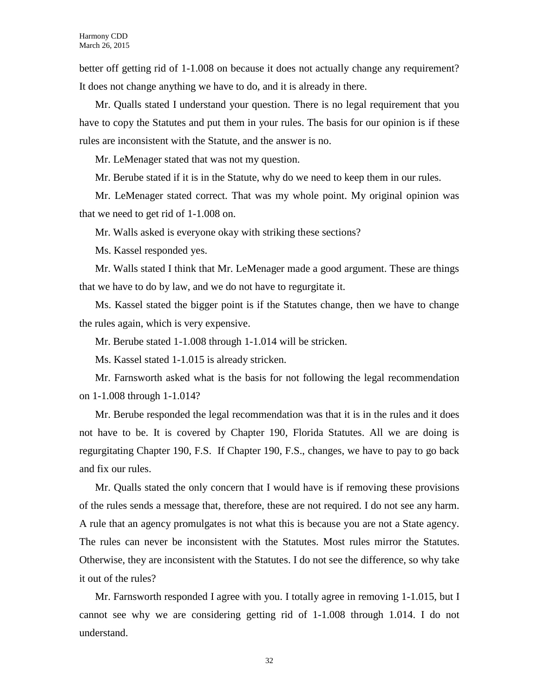better off getting rid of 1-1.008 on because it does not actually change any requirement? It does not change anything we have to do, and it is already in there.

Mr. Qualls stated I understand your question. There is no legal requirement that you have to copy the Statutes and put them in your rules. The basis for our opinion is if these rules are inconsistent with the Statute, and the answer is no.

Mr. LeMenager stated that was not my question.

Mr. Berube stated if it is in the Statute, why do we need to keep them in our rules.

Mr. LeMenager stated correct. That was my whole point. My original opinion was that we need to get rid of 1-1.008 on.

Mr. Walls asked is everyone okay with striking these sections?

Ms. Kassel responded yes.

Mr. Walls stated I think that Mr. LeMenager made a good argument. These are things that we have to do by law, and we do not have to regurgitate it.

Ms. Kassel stated the bigger point is if the Statutes change, then we have to change the rules again, which is very expensive.

Mr. Berube stated 1-1.008 through 1-1.014 will be stricken.

Ms. Kassel stated 1-1.015 is already stricken.

Mr. Farnsworth asked what is the basis for not following the legal recommendation on 1-1.008 through 1-1.014?

Mr. Berube responded the legal recommendation was that it is in the rules and it does not have to be. It is covered by Chapter 190, Florida Statutes. All we are doing is regurgitating Chapter 190, F.S. If Chapter 190, F.S., changes, we have to pay to go back and fix our rules.

Mr. Qualls stated the only concern that I would have is if removing these provisions of the rules sends a message that, therefore, these are not required. I do not see any harm. A rule that an agency promulgates is not what this is because you are not a State agency. The rules can never be inconsistent with the Statutes. Most rules mirror the Statutes. Otherwise, they are inconsistent with the Statutes. I do not see the difference, so why take it out of the rules?

Mr. Farnsworth responded I agree with you. I totally agree in removing 1-1.015, but I cannot see why we are considering getting rid of 1-1.008 through 1.014. I do not understand.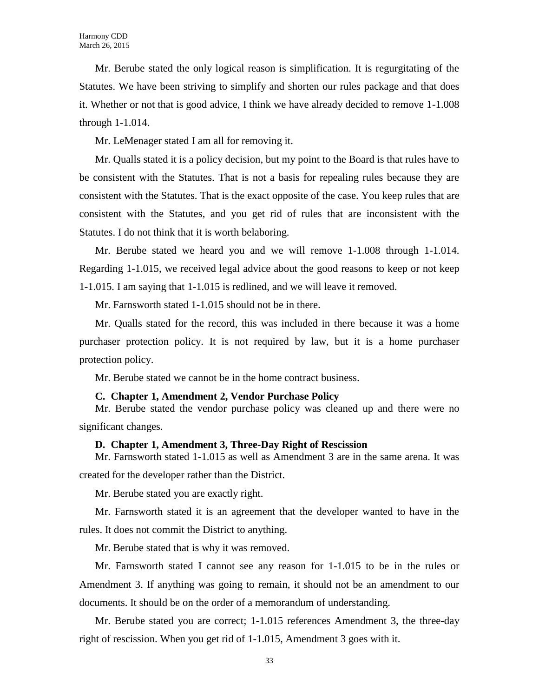Mr. Berube stated the only logical reason is simplification. It is regurgitating of the Statutes. We have been striving to simplify and shorten our rules package and that does it. Whether or not that is good advice, I think we have already decided to remove 1-1.008 through 1-1.014.

Mr. LeMenager stated I am all for removing it.

Mr. Qualls stated it is a policy decision, but my point to the Board is that rules have to be consistent with the Statutes. That is not a basis for repealing rules because they are consistent with the Statutes. That is the exact opposite of the case. You keep rules that are consistent with the Statutes, and you get rid of rules that are inconsistent with the Statutes. I do not think that it is worth belaboring.

Mr. Berube stated we heard you and we will remove 1-1.008 through 1-1.014. Regarding 1-1.015, we received legal advice about the good reasons to keep or not keep 1-1.015. I am saying that 1-1.015 is redlined, and we will leave it removed.

Mr. Farnsworth stated 1-1.015 should not be in there.

Mr. Qualls stated for the record, this was included in there because it was a home purchaser protection policy. It is not required by law, but it is a home purchaser protection policy.

Mr. Berube stated we cannot be in the home contract business.

#### **C. Chapter 1, Amendment 2, Vendor Purchase Policy**

Mr. Berube stated the vendor purchase policy was cleaned up and there were no significant changes.

#### **D. Chapter 1, Amendment 3, Three-Day Right of Rescission**

Mr. Farnsworth stated 1-1.015 as well as Amendment 3 are in the same arena. It was created for the developer rather than the District.

Mr. Berube stated you are exactly right.

Mr. Farnsworth stated it is an agreement that the developer wanted to have in the rules. It does not commit the District to anything.

Mr. Berube stated that is why it was removed.

Mr. Farnsworth stated I cannot see any reason for 1-1.015 to be in the rules or Amendment 3. If anything was going to remain, it should not be an amendment to our documents. It should be on the order of a memorandum of understanding.

Mr. Berube stated you are correct; 1-1.015 references Amendment 3, the three-day right of rescission. When you get rid of 1-1.015, Amendment 3 goes with it.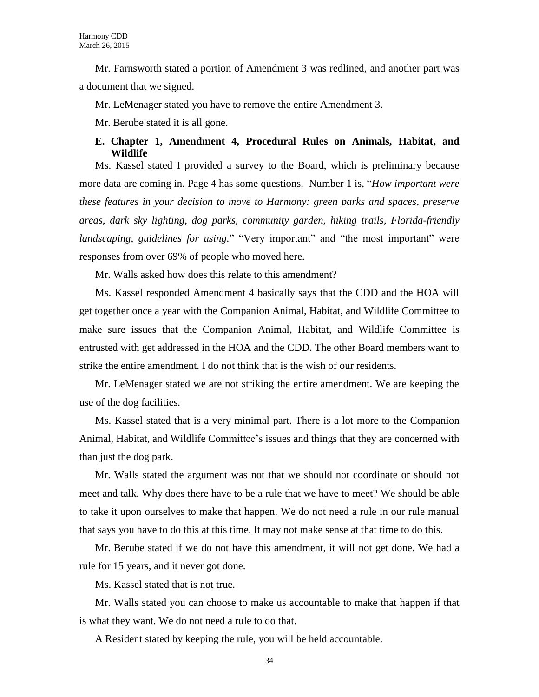Mr. Farnsworth stated a portion of Amendment 3 was redlined, and another part was a document that we signed.

Mr. LeMenager stated you have to remove the entire Amendment 3.

Mr. Berube stated it is all gone.

# **E. Chapter 1, Amendment 4, Procedural Rules on Animals, Habitat, and Wildlife**

Ms. Kassel stated I provided a survey to the Board, which is preliminary because more data are coming in. Page 4 has some questions. Number 1 is, "*How important were these features in your decision to move to Harmony: green parks and spaces, preserve areas, dark sky lighting, dog parks, community garden, hiking trails, Florida-friendly landscaping, guidelines for using.*" "Very important" and "the most important" were responses from over 69% of people who moved here.

Mr. Walls asked how does this relate to this amendment?

Ms. Kassel responded Amendment 4 basically says that the CDD and the HOA will get together once a year with the Companion Animal, Habitat, and Wildlife Committee to make sure issues that the Companion Animal, Habitat, and Wildlife Committee is entrusted with get addressed in the HOA and the CDD. The other Board members want to strike the entire amendment. I do not think that is the wish of our residents.

Mr. LeMenager stated we are not striking the entire amendment. We are keeping the use of the dog facilities.

Ms. Kassel stated that is a very minimal part. There is a lot more to the Companion Animal, Habitat, and Wildlife Committee's issues and things that they are concerned with than just the dog park.

Mr. Walls stated the argument was not that we should not coordinate or should not meet and talk. Why does there have to be a rule that we have to meet? We should be able to take it upon ourselves to make that happen. We do not need a rule in our rule manual that says you have to do this at this time. It may not make sense at that time to do this.

Mr. Berube stated if we do not have this amendment, it will not get done. We had a rule for 15 years, and it never got done.

Ms. Kassel stated that is not true.

Mr. Walls stated you can choose to make us accountable to make that happen if that is what they want. We do not need a rule to do that.

A Resident stated by keeping the rule, you will be held accountable.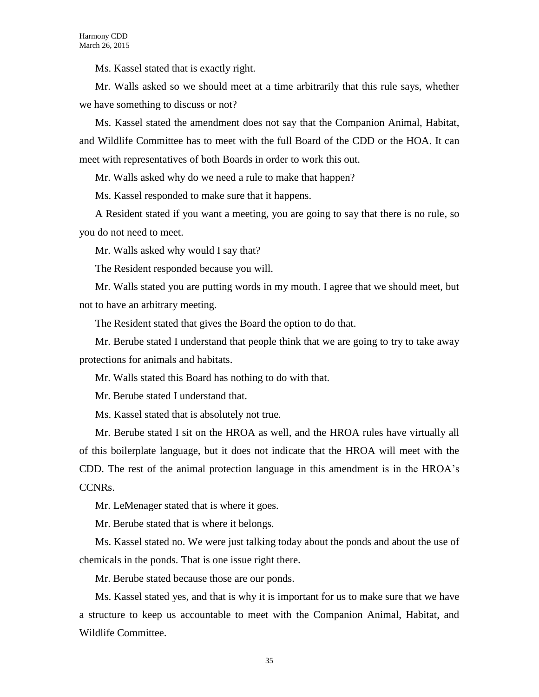Ms. Kassel stated that is exactly right.

Mr. Walls asked so we should meet at a time arbitrarily that this rule says, whether we have something to discuss or not?

Ms. Kassel stated the amendment does not say that the Companion Animal, Habitat, and Wildlife Committee has to meet with the full Board of the CDD or the HOA. It can meet with representatives of both Boards in order to work this out.

Mr. Walls asked why do we need a rule to make that happen?

Ms. Kassel responded to make sure that it happens.

A Resident stated if you want a meeting, you are going to say that there is no rule, so you do not need to meet.

Mr. Walls asked why would I say that?

The Resident responded because you will.

Mr. Walls stated you are putting words in my mouth. I agree that we should meet, but not to have an arbitrary meeting.

The Resident stated that gives the Board the option to do that.

Mr. Berube stated I understand that people think that we are going to try to take away protections for animals and habitats.

Mr. Walls stated this Board has nothing to do with that.

Mr. Berube stated I understand that.

Ms. Kassel stated that is absolutely not true.

Mr. Berube stated I sit on the HROA as well, and the HROA rules have virtually all of this boilerplate language, but it does not indicate that the HROA will meet with the CDD. The rest of the animal protection language in this amendment is in the HROA's CCNRs.

Mr. LeMenager stated that is where it goes.

Mr. Berube stated that is where it belongs.

Ms. Kassel stated no. We were just talking today about the ponds and about the use of chemicals in the ponds. That is one issue right there.

Mr. Berube stated because those are our ponds.

Ms. Kassel stated yes, and that is why it is important for us to make sure that we have a structure to keep us accountable to meet with the Companion Animal, Habitat, and Wildlife Committee.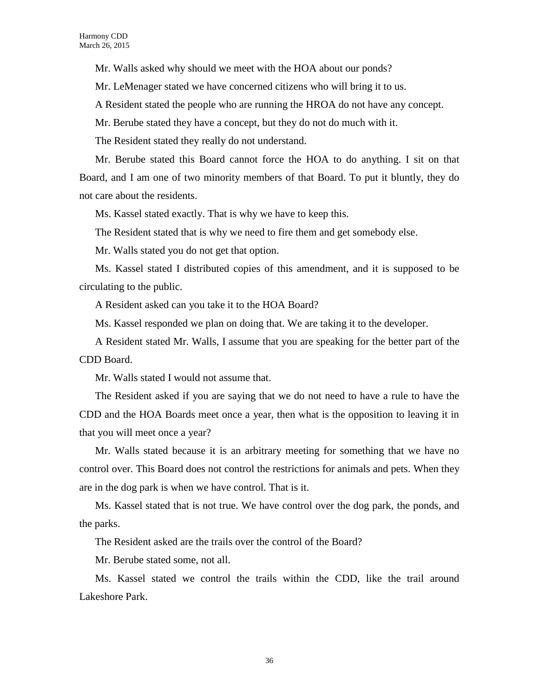Mr. Walls asked why should we meet with the HOA about our ponds?

Mr. LeMenager stated we have concerned citizens who will bring it to us.

A Resident stated the people who are running the HROA do not have any concept.

Mr. Berube stated they have a concept, but they do not do much with it.

The Resident stated they really do not understand.

Mr. Berube stated this Board cannot force the HOA to do anything. I sit on that Board, and I am one of two minority members of that Board. To put it bluntly, they do not care about the residents.

Ms. Kassel stated exactly. That is why we have to keep this.

The Resident stated that is why we need to fire them and get somebody else.

Mr. Walls stated you do not get that option.

Ms. Kassel stated I distributed copies of this amendment, and it is supposed to be circulating to the public.

A Resident asked can you take it to the HOA Board?

Ms. Kassel responded we plan on doing that. We are taking it to the developer.

A Resident stated Mr. Walls, I assume that you are speaking for the better part of the CDD Board.

Mr. Walls stated I would not assume that.

The Resident asked if you are saying that we do not need to have a rule to have the CDD and the HOA Boards meet once a year, then what is the opposition to leaving it in that you will meet once a year?

Mr. Walls stated because it is an arbitrary meeting for something that we have no control over. This Board does not control the restrictions for animals and pets. When they are in the dog park is when we have control. That is it.

Ms. Kassel stated that is not true. We have control over the dog park, the ponds, and the parks.

The Resident asked are the trails over the control of the Board?

Mr. Berube stated some, not all.

Ms. Kassel stated we control the trails within the CDD, like the trail around Lakeshore Park.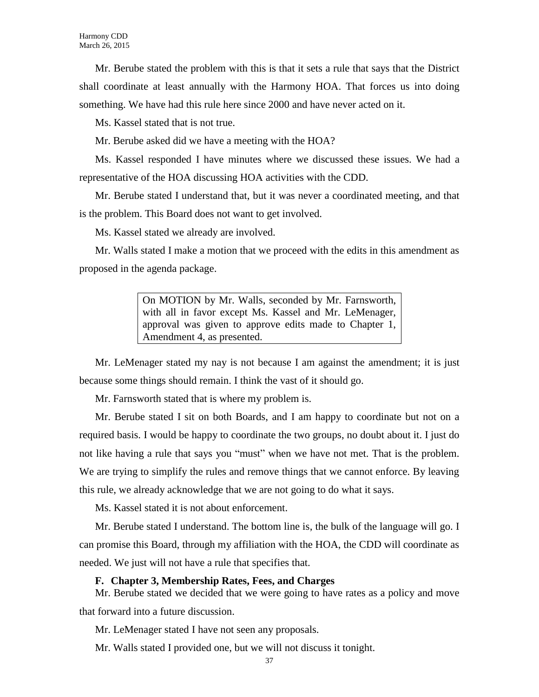Mr. Berube stated the problem with this is that it sets a rule that says that the District shall coordinate at least annually with the Harmony HOA. That forces us into doing something. We have had this rule here since 2000 and have never acted on it.

Ms. Kassel stated that is not true.

Mr. Berube asked did we have a meeting with the HOA?

Ms. Kassel responded I have minutes where we discussed these issues. We had a representative of the HOA discussing HOA activities with the CDD.

Mr. Berube stated I understand that, but it was never a coordinated meeting, and that is the problem. This Board does not want to get involved.

Ms. Kassel stated we already are involved.

Mr. Walls stated I make a motion that we proceed with the edits in this amendment as proposed in the agenda package.

> On MOTION by Mr. Walls, seconded by Mr. Farnsworth, with all in favor except Ms. Kassel and Mr. LeMenager, approval was given to approve edits made to Chapter 1, Amendment 4, as presented.

Mr. LeMenager stated my nay is not because I am against the amendment; it is just because some things should remain. I think the vast of it should go.

Mr. Farnsworth stated that is where my problem is.

Mr. Berube stated I sit on both Boards, and I am happy to coordinate but not on a required basis. I would be happy to coordinate the two groups, no doubt about it. I just do not like having a rule that says you "must" when we have not met. That is the problem. We are trying to simplify the rules and remove things that we cannot enforce. By leaving this rule, we already acknowledge that we are not going to do what it says.

Ms. Kassel stated it is not about enforcement.

Mr. Berube stated I understand. The bottom line is, the bulk of the language will go. I can promise this Board, through my affiliation with the HOA, the CDD will coordinate as needed. We just will not have a rule that specifies that.

#### **F. Chapter 3, Membership Rates, Fees, and Charges**

Mr. Berube stated we decided that we were going to have rates as a policy and move that forward into a future discussion.

Mr. LeMenager stated I have not seen any proposals.

Mr. Walls stated I provided one, but we will not discuss it tonight.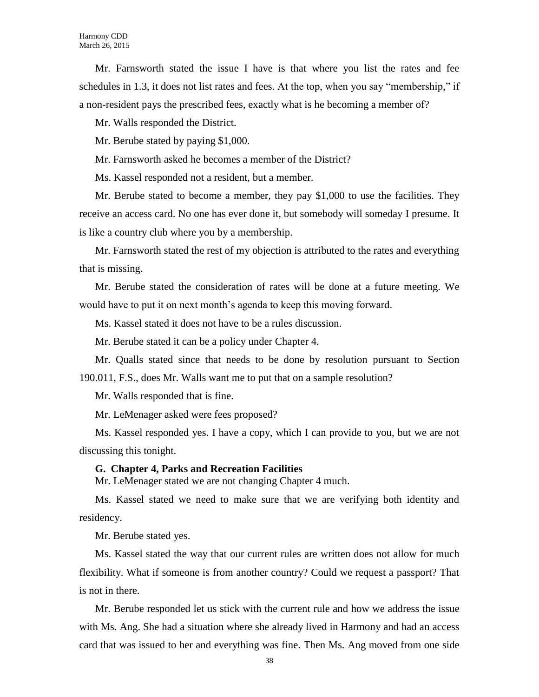Mr. Farnsworth stated the issue I have is that where you list the rates and fee schedules in 1.3, it does not list rates and fees. At the top, when you say "membership," if a non-resident pays the prescribed fees, exactly what is he becoming a member of?

Mr. Walls responded the District.

Mr. Berube stated by paying \$1,000.

Mr. Farnsworth asked he becomes a member of the District?

Ms. Kassel responded not a resident, but a member.

Mr. Berube stated to become a member, they pay \$1,000 to use the facilities. They receive an access card. No one has ever done it, but somebody will someday I presume. It is like a country club where you by a membership.

Mr. Farnsworth stated the rest of my objection is attributed to the rates and everything that is missing.

Mr. Berube stated the consideration of rates will be done at a future meeting. We would have to put it on next month's agenda to keep this moving forward.

Ms. Kassel stated it does not have to be a rules discussion.

Mr. Berube stated it can be a policy under Chapter 4.

Mr. Qualls stated since that needs to be done by resolution pursuant to Section 190.011, F.S., does Mr. Walls want me to put that on a sample resolution?

Mr. Walls responded that is fine.

Mr. LeMenager asked were fees proposed?

Ms. Kassel responded yes. I have a copy, which I can provide to you, but we are not discussing this tonight.

#### **G. Chapter 4, Parks and Recreation Facilities**

Mr. LeMenager stated we are not changing Chapter 4 much.

Ms. Kassel stated we need to make sure that we are verifying both identity and residency.

Mr. Berube stated yes.

Ms. Kassel stated the way that our current rules are written does not allow for much flexibility. What if someone is from another country? Could we request a passport? That is not in there.

Mr. Berube responded let us stick with the current rule and how we address the issue with Ms. Ang. She had a situation where she already lived in Harmony and had an access card that was issued to her and everything was fine. Then Ms. Ang moved from one side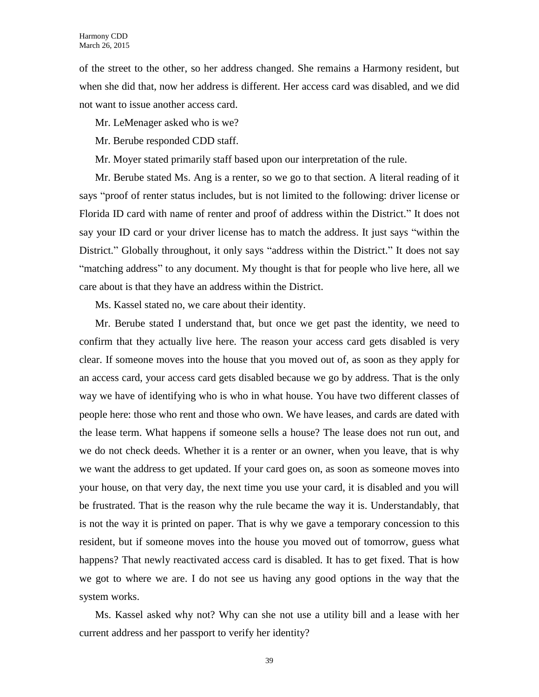of the street to the other, so her address changed. She remains a Harmony resident, but when she did that, now her address is different. Her access card was disabled, and we did not want to issue another access card.

Mr. LeMenager asked who is we?

Mr. Berube responded CDD staff.

Mr. Moyer stated primarily staff based upon our interpretation of the rule.

Mr. Berube stated Ms. Ang is a renter, so we go to that section. A literal reading of it says "proof of renter status includes, but is not limited to the following: driver license or Florida ID card with name of renter and proof of address within the District." It does not say your ID card or your driver license has to match the address. It just says "within the District." Globally throughout, it only says "address within the District." It does not say "matching address" to any document. My thought is that for people who live here, all we care about is that they have an address within the District.

Ms. Kassel stated no, we care about their identity.

Mr. Berube stated I understand that, but once we get past the identity, we need to confirm that they actually live here. The reason your access card gets disabled is very clear. If someone moves into the house that you moved out of, as soon as they apply for an access card, your access card gets disabled because we go by address. That is the only way we have of identifying who is who in what house. You have two different classes of people here: those who rent and those who own. We have leases, and cards are dated with the lease term. What happens if someone sells a house? The lease does not run out, and we do not check deeds. Whether it is a renter or an owner, when you leave, that is why we want the address to get updated. If your card goes on, as soon as someone moves into your house, on that very day, the next time you use your card, it is disabled and you will be frustrated. That is the reason why the rule became the way it is. Understandably, that is not the way it is printed on paper. That is why we gave a temporary concession to this resident, but if someone moves into the house you moved out of tomorrow, guess what happens? That newly reactivated access card is disabled. It has to get fixed. That is how we got to where we are. I do not see us having any good options in the way that the system works.

Ms. Kassel asked why not? Why can she not use a utility bill and a lease with her current address and her passport to verify her identity?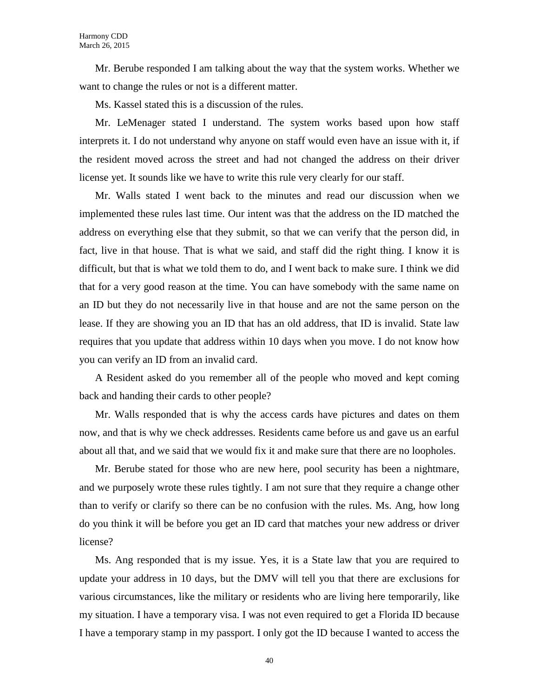Mr. Berube responded I am talking about the way that the system works. Whether we want to change the rules or not is a different matter.

Ms. Kassel stated this is a discussion of the rules.

Mr. LeMenager stated I understand. The system works based upon how staff interprets it. I do not understand why anyone on staff would even have an issue with it, if the resident moved across the street and had not changed the address on their driver license yet. It sounds like we have to write this rule very clearly for our staff.

Mr. Walls stated I went back to the minutes and read our discussion when we implemented these rules last time. Our intent was that the address on the ID matched the address on everything else that they submit, so that we can verify that the person did, in fact, live in that house. That is what we said, and staff did the right thing. I know it is difficult, but that is what we told them to do, and I went back to make sure. I think we did that for a very good reason at the time. You can have somebody with the same name on an ID but they do not necessarily live in that house and are not the same person on the lease. If they are showing you an ID that has an old address, that ID is invalid. State law requires that you update that address within 10 days when you move. I do not know how you can verify an ID from an invalid card.

A Resident asked do you remember all of the people who moved and kept coming back and handing their cards to other people?

Mr. Walls responded that is why the access cards have pictures and dates on them now, and that is why we check addresses. Residents came before us and gave us an earful about all that, and we said that we would fix it and make sure that there are no loopholes.

Mr. Berube stated for those who are new here, pool security has been a nightmare, and we purposely wrote these rules tightly. I am not sure that they require a change other than to verify or clarify so there can be no confusion with the rules. Ms. Ang, how long do you think it will be before you get an ID card that matches your new address or driver license?

Ms. Ang responded that is my issue. Yes, it is a State law that you are required to update your address in 10 days, but the DMV will tell you that there are exclusions for various circumstances, like the military or residents who are living here temporarily, like my situation. I have a temporary visa. I was not even required to get a Florida ID because I have a temporary stamp in my passport. I only got the ID because I wanted to access the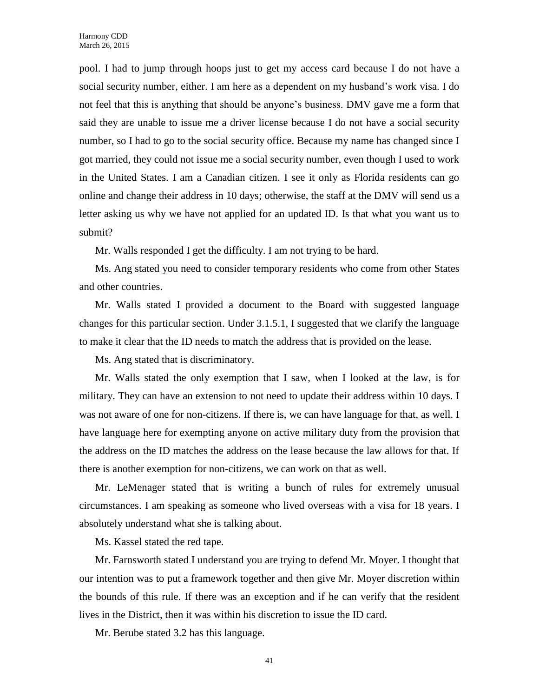pool. I had to jump through hoops just to get my access card because I do not have a social security number, either. I am here as a dependent on my husband's work visa. I do not feel that this is anything that should be anyone's business. DMV gave me a form that said they are unable to issue me a driver license because I do not have a social security number, so I had to go to the social security office. Because my name has changed since I got married, they could not issue me a social security number, even though I used to work in the United States. I am a Canadian citizen. I see it only as Florida residents can go online and change their address in 10 days; otherwise, the staff at the DMV will send us a letter asking us why we have not applied for an updated ID. Is that what you want us to submit?

Mr. Walls responded I get the difficulty. I am not trying to be hard.

Ms. Ang stated you need to consider temporary residents who come from other States and other countries.

Mr. Walls stated I provided a document to the Board with suggested language changes for this particular section. Under 3.1.5.1, I suggested that we clarify the language to make it clear that the ID needs to match the address that is provided on the lease.

Ms. Ang stated that is discriminatory.

Mr. Walls stated the only exemption that I saw, when I looked at the law, is for military. They can have an extension to not need to update their address within 10 days. I was not aware of one for non-citizens. If there is, we can have language for that, as well. I have language here for exempting anyone on active military duty from the provision that the address on the ID matches the address on the lease because the law allows for that. If there is another exemption for non-citizens, we can work on that as well.

Mr. LeMenager stated that is writing a bunch of rules for extremely unusual circumstances. I am speaking as someone who lived overseas with a visa for 18 years. I absolutely understand what she is talking about.

Ms. Kassel stated the red tape.

Mr. Farnsworth stated I understand you are trying to defend Mr. Moyer. I thought that our intention was to put a framework together and then give Mr. Moyer discretion within the bounds of this rule. If there was an exception and if he can verify that the resident lives in the District, then it was within his discretion to issue the ID card.

Mr. Berube stated 3.2 has this language.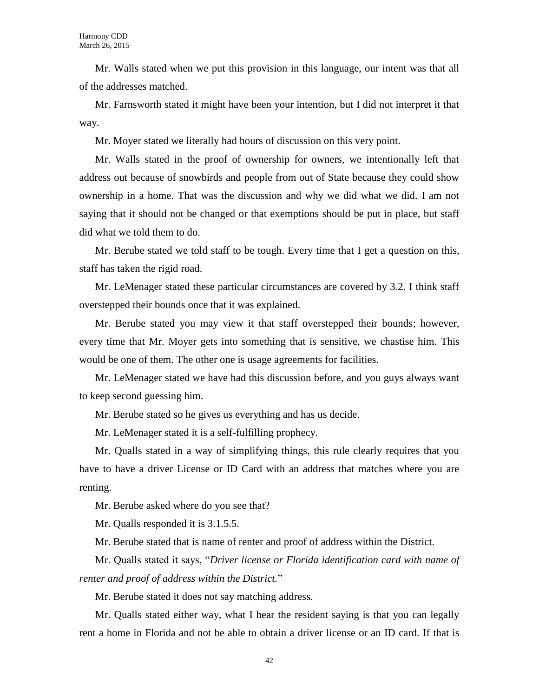Mr. Walls stated when we put this provision in this language, our intent was that all of the addresses matched.

Mr. Farnsworth stated it might have been your intention, but I did not interpret it that way.

Mr. Moyer stated we literally had hours of discussion on this very point.

Mr. Walls stated in the proof of ownership for owners, we intentionally left that address out because of snowbirds and people from out of State because they could show ownership in a home. That was the discussion and why we did what we did. I am not saying that it should not be changed or that exemptions should be put in place, but staff did what we told them to do.

Mr. Berube stated we told staff to be tough. Every time that I get a question on this, staff has taken the rigid road.

Mr. LeMenager stated these particular circumstances are covered by 3.2. I think staff overstepped their bounds once that it was explained.

Mr. Berube stated you may view it that staff overstepped their bounds; however, every time that Mr. Moyer gets into something that is sensitive, we chastise him. This would be one of them. The other one is usage agreements for facilities.

Mr. LeMenager stated we have had this discussion before, and you guys always want to keep second guessing him.

Mr. Berube stated so he gives us everything and has us decide.

Mr. LeMenager stated it is a self-fulfilling prophecy.

Mr. Qualls stated in a way of simplifying things, this rule clearly requires that you have to have a driver License or ID Card with an address that matches where you are renting.

Mr. Berube asked where do you see that?

Mr. Qualls responded it is 3.1.5.5.

Mr. Berube stated that is name of renter and proof of address within the District.

Mr. Qualls stated it says, "*Driver license or Florida identification card with name of renter and proof of address within the District.*"

Mr. Berube stated it does not say matching address.

Mr. Qualls stated either way, what I hear the resident saying is that you can legally rent a home in Florida and not be able to obtain a driver license or an ID card. If that is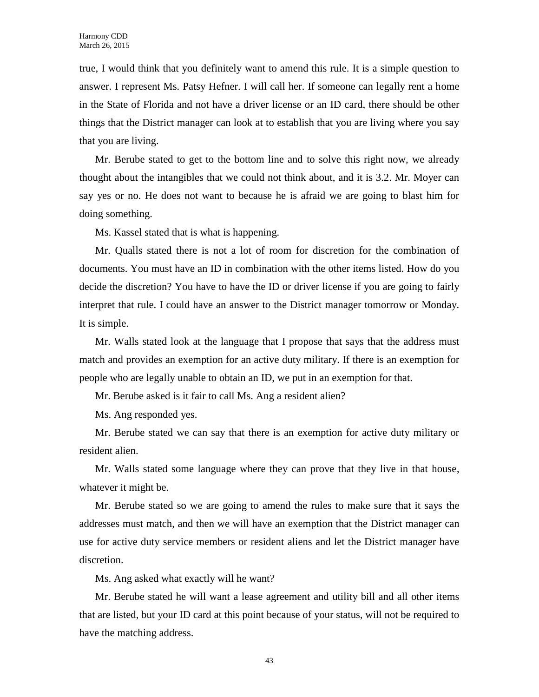true, I would think that you definitely want to amend this rule. It is a simple question to answer. I represent Ms. Patsy Hefner. I will call her. If someone can legally rent a home in the State of Florida and not have a driver license or an ID card, there should be other things that the District manager can look at to establish that you are living where you say that you are living.

Mr. Berube stated to get to the bottom line and to solve this right now, we already thought about the intangibles that we could not think about, and it is 3.2. Mr. Moyer can say yes or no. He does not want to because he is afraid we are going to blast him for doing something.

Ms. Kassel stated that is what is happening.

Mr. Qualls stated there is not a lot of room for discretion for the combination of documents. You must have an ID in combination with the other items listed. How do you decide the discretion? You have to have the ID or driver license if you are going to fairly interpret that rule. I could have an answer to the District manager tomorrow or Monday. It is simple.

Mr. Walls stated look at the language that I propose that says that the address must match and provides an exemption for an active duty military. If there is an exemption for people who are legally unable to obtain an ID, we put in an exemption for that.

Mr. Berube asked is it fair to call Ms. Ang a resident alien?

Ms. Ang responded yes.

Mr. Berube stated we can say that there is an exemption for active duty military or resident alien.

Mr. Walls stated some language where they can prove that they live in that house, whatever it might be.

Mr. Berube stated so we are going to amend the rules to make sure that it says the addresses must match, and then we will have an exemption that the District manager can use for active duty service members or resident aliens and let the District manager have discretion.

Ms. Ang asked what exactly will he want?

Mr. Berube stated he will want a lease agreement and utility bill and all other items that are listed, but your ID card at this point because of your status, will not be required to have the matching address.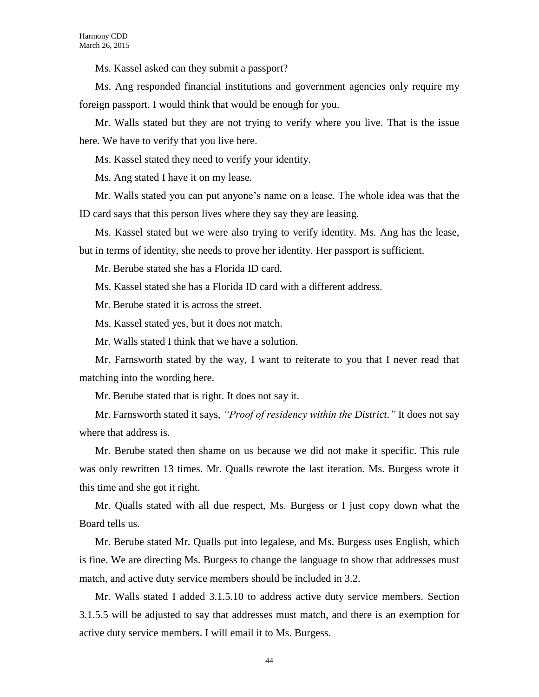Ms. Kassel asked can they submit a passport?

Ms. Ang responded financial institutions and government agencies only require my foreign passport. I would think that would be enough for you.

Mr. Walls stated but they are not trying to verify where you live. That is the issue here. We have to verify that you live here.

Ms. Kassel stated they need to verify your identity.

Ms. Ang stated I have it on my lease.

Mr. Walls stated you can put anyone's name on a lease. The whole idea was that the ID card says that this person lives where they say they are leasing.

Ms. Kassel stated but we were also trying to verify identity. Ms. Ang has the lease, but in terms of identity, she needs to prove her identity. Her passport is sufficient.

Mr. Berube stated she has a Florida ID card.

Ms. Kassel stated she has a Florida ID card with a different address.

Mr. Berube stated it is across the street.

Ms. Kassel stated yes, but it does not match.

Mr. Walls stated I think that we have a solution.

Mr. Farnsworth stated by the way, I want to reiterate to you that I never read that matching into the wording here.

Mr. Berube stated that is right. It does not say it.

Mr. Farnsworth stated it says, *"Proof of residency within the District."* It does not say where that address is.

Mr. Berube stated then shame on us because we did not make it specific. This rule was only rewritten 13 times. Mr. Qualls rewrote the last iteration. Ms. Burgess wrote it this time and she got it right.

Mr. Qualls stated with all due respect, Ms. Burgess or I just copy down what the Board tells us.

Mr. Berube stated Mr. Qualls put into legalese, and Ms. Burgess uses English, which is fine. We are directing Ms. Burgess to change the language to show that addresses must match, and active duty service members should be included in 3.2.

Mr. Walls stated I added 3.1.5.10 to address active duty service members. Section 3.1.5.5 will be adjusted to say that addresses must match, and there is an exemption for active duty service members. I will email it to Ms. Burgess.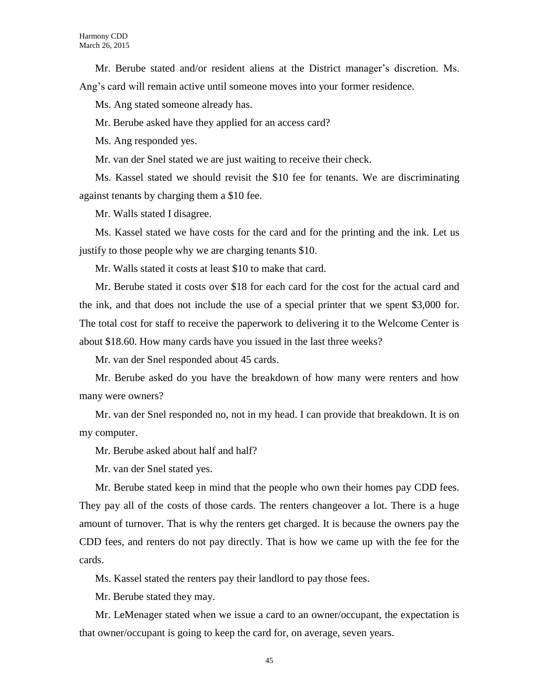Mr. Berube stated and/or resident aliens at the District manager's discretion. Ms. Ang's card will remain active until someone moves into your former residence.

Ms. Ang stated someone already has.

Mr. Berube asked have they applied for an access card?

Ms. Ang responded yes.

Mr. van der Snel stated we are just waiting to receive their check.

Ms. Kassel stated we should revisit the \$10 fee for tenants. We are discriminating against tenants by charging them a \$10 fee.

Mr. Walls stated I disagree.

Ms. Kassel stated we have costs for the card and for the printing and the ink. Let us justify to those people why we are charging tenants \$10.

Mr. Walls stated it costs at least \$10 to make that card.

Mr. Berube stated it costs over \$18 for each card for the cost for the actual card and the ink, and that does not include the use of a special printer that we spent \$3,000 for. The total cost for staff to receive the paperwork to delivering it to the Welcome Center is about \$18.60. How many cards have you issued in the last three weeks?

Mr. van der Snel responded about 45 cards.

Mr. Berube asked do you have the breakdown of how many were renters and how many were owners?

Mr. van der Snel responded no, not in my head. I can provide that breakdown. It is on my computer.

Mr. Berube asked about half and half?

Mr. van der Snel stated yes.

Mr. Berube stated keep in mind that the people who own their homes pay CDD fees. They pay all of the costs of those cards. The renters changeover a lot. There is a huge amount of turnover. That is why the renters get charged. It is because the owners pay the CDD fees, and renters do not pay directly. That is how we came up with the fee for the cards.

Ms. Kassel stated the renters pay their landlord to pay those fees.

Mr. Berube stated they may.

Mr. LeMenager stated when we issue a card to an owner/occupant, the expectation is that owner/occupant is going to keep the card for, on average, seven years.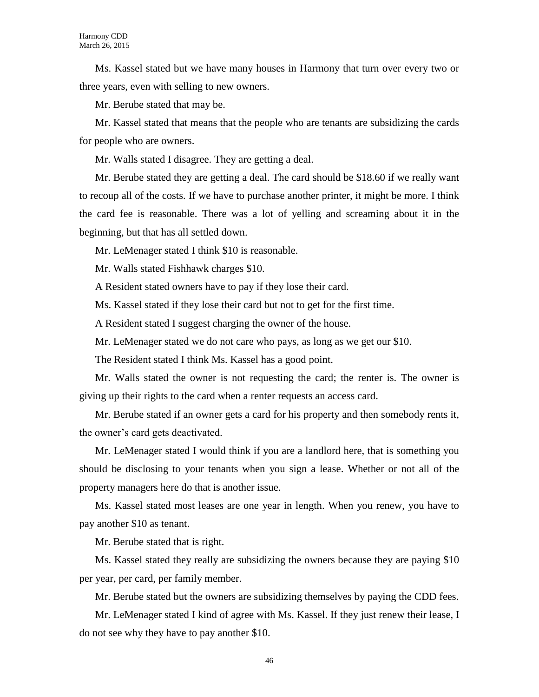Ms. Kassel stated but we have many houses in Harmony that turn over every two or three years, even with selling to new owners.

Mr. Berube stated that may be.

Mr. Kassel stated that means that the people who are tenants are subsidizing the cards for people who are owners.

Mr. Walls stated I disagree. They are getting a deal.

Mr. Berube stated they are getting a deal. The card should be \$18.60 if we really want to recoup all of the costs. If we have to purchase another printer, it might be more. I think the card fee is reasonable. There was a lot of yelling and screaming about it in the beginning, but that has all settled down.

Mr. LeMenager stated I think \$10 is reasonable.

Mr. Walls stated Fishhawk charges \$10.

A Resident stated owners have to pay if they lose their card.

Ms. Kassel stated if they lose their card but not to get for the first time.

A Resident stated I suggest charging the owner of the house.

Mr. LeMenager stated we do not care who pays, as long as we get our \$10.

The Resident stated I think Ms. Kassel has a good point.

Mr. Walls stated the owner is not requesting the card; the renter is. The owner is giving up their rights to the card when a renter requests an access card.

Mr. Berube stated if an owner gets a card for his property and then somebody rents it, the owner's card gets deactivated.

Mr. LeMenager stated I would think if you are a landlord here, that is something you should be disclosing to your tenants when you sign a lease. Whether or not all of the property managers here do that is another issue.

Ms. Kassel stated most leases are one year in length. When you renew, you have to pay another \$10 as tenant.

Mr. Berube stated that is right.

Ms. Kassel stated they really are subsidizing the owners because they are paying \$10 per year, per card, per family member.

Mr. Berube stated but the owners are subsidizing themselves by paying the CDD fees.

Mr. LeMenager stated I kind of agree with Ms. Kassel. If they just renew their lease, I do not see why they have to pay another \$10.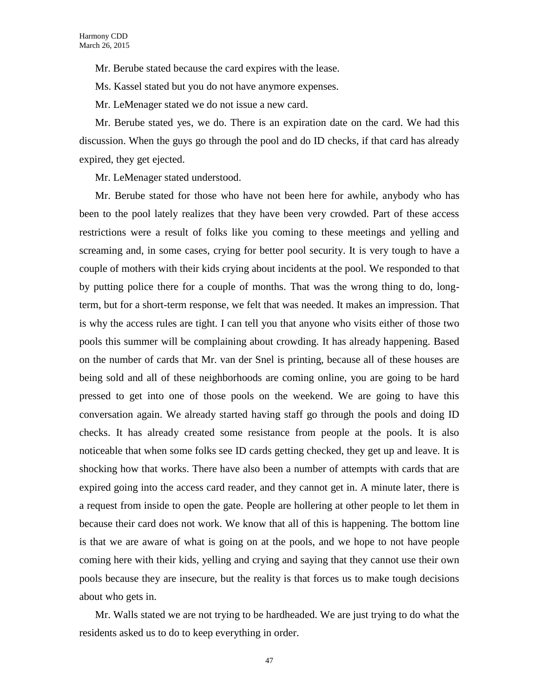Mr. Berube stated because the card expires with the lease.

Ms. Kassel stated but you do not have anymore expenses.

Mr. LeMenager stated we do not issue a new card.

Mr. Berube stated yes, we do. There is an expiration date on the card. We had this discussion. When the guys go through the pool and do ID checks, if that card has already expired, they get ejected.

Mr. LeMenager stated understood.

Mr. Berube stated for those who have not been here for awhile, anybody who has been to the pool lately realizes that they have been very crowded. Part of these access restrictions were a result of folks like you coming to these meetings and yelling and screaming and, in some cases, crying for better pool security. It is very tough to have a couple of mothers with their kids crying about incidents at the pool. We responded to that by putting police there for a couple of months. That was the wrong thing to do, longterm, but for a short-term response, we felt that was needed. It makes an impression. That is why the access rules are tight. I can tell you that anyone who visits either of those two pools this summer will be complaining about crowding. It has already happening. Based on the number of cards that Mr. van der Snel is printing, because all of these houses are being sold and all of these neighborhoods are coming online, you are going to be hard pressed to get into one of those pools on the weekend. We are going to have this conversation again. We already started having staff go through the pools and doing ID checks. It has already created some resistance from people at the pools. It is also noticeable that when some folks see ID cards getting checked, they get up and leave. It is shocking how that works. There have also been a number of attempts with cards that are expired going into the access card reader, and they cannot get in. A minute later, there is a request from inside to open the gate. People are hollering at other people to let them in because their card does not work. We know that all of this is happening. The bottom line is that we are aware of what is going on at the pools, and we hope to not have people coming here with their kids, yelling and crying and saying that they cannot use their own pools because they are insecure, but the reality is that forces us to make tough decisions about who gets in.

Mr. Walls stated we are not trying to be hardheaded. We are just trying to do what the residents asked us to do to keep everything in order.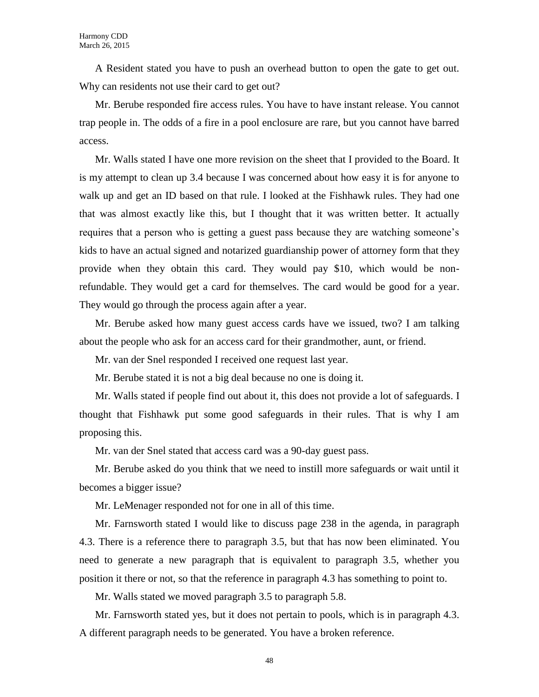A Resident stated you have to push an overhead button to open the gate to get out. Why can residents not use their card to get out?

Mr. Berube responded fire access rules. You have to have instant release. You cannot trap people in. The odds of a fire in a pool enclosure are rare, but you cannot have barred access.

Mr. Walls stated I have one more revision on the sheet that I provided to the Board. It is my attempt to clean up 3.4 because I was concerned about how easy it is for anyone to walk up and get an ID based on that rule. I looked at the Fishhawk rules. They had one that was almost exactly like this, but I thought that it was written better. It actually requires that a person who is getting a guest pass because they are watching someone's kids to have an actual signed and notarized guardianship power of attorney form that they provide when they obtain this card. They would pay \$10, which would be nonrefundable. They would get a card for themselves. The card would be good for a year. They would go through the process again after a year.

Mr. Berube asked how many guest access cards have we issued, two? I am talking about the people who ask for an access card for their grandmother, aunt, or friend.

Mr. van der Snel responded I received one request last year.

Mr. Berube stated it is not a big deal because no one is doing it.

Mr. Walls stated if people find out about it, this does not provide a lot of safeguards. I thought that Fishhawk put some good safeguards in their rules. That is why I am proposing this.

Mr. van der Snel stated that access card was a 90-day guest pass.

Mr. Berube asked do you think that we need to instill more safeguards or wait until it becomes a bigger issue?

Mr. LeMenager responded not for one in all of this time.

Mr. Farnsworth stated I would like to discuss page 238 in the agenda, in paragraph 4.3. There is a reference there to paragraph 3.5, but that has now been eliminated. You need to generate a new paragraph that is equivalent to paragraph 3.5, whether you position it there or not, so that the reference in paragraph 4.3 has something to point to.

Mr. Walls stated we moved paragraph 3.5 to paragraph 5.8.

Mr. Farnsworth stated yes, but it does not pertain to pools, which is in paragraph 4.3. A different paragraph needs to be generated. You have a broken reference.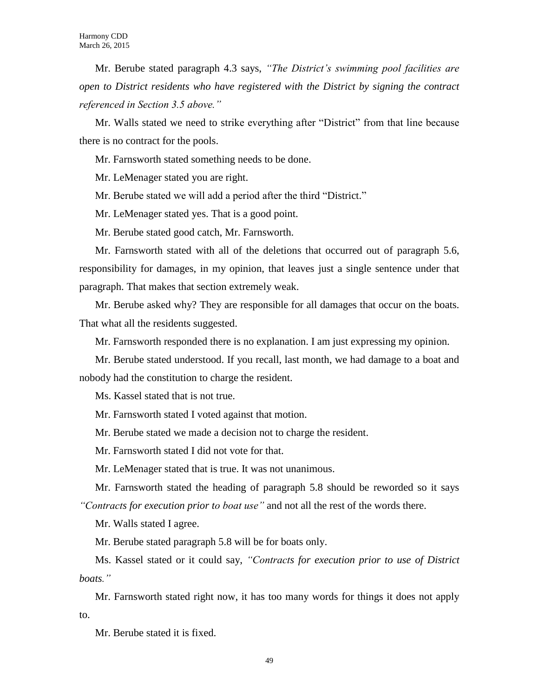Mr. Berube stated paragraph 4.3 says, *"The District's swimming pool facilities are open to District residents who have registered with the District by signing the contract referenced in Section 3.5 above."*

Mr. Walls stated we need to strike everything after "District" from that line because there is no contract for the pools.

Mr. Farnsworth stated something needs to be done.

Mr. LeMenager stated you are right.

Mr. Berube stated we will add a period after the third "District."

Mr. LeMenager stated yes. That is a good point.

Mr. Berube stated good catch, Mr. Farnsworth.

Mr. Farnsworth stated with all of the deletions that occurred out of paragraph 5.6, responsibility for damages, in my opinion, that leaves just a single sentence under that paragraph. That makes that section extremely weak.

Mr. Berube asked why? They are responsible for all damages that occur on the boats. That what all the residents suggested.

Mr. Farnsworth responded there is no explanation. I am just expressing my opinion.

Mr. Berube stated understood. If you recall, last month, we had damage to a boat and nobody had the constitution to charge the resident.

Ms. Kassel stated that is not true.

Mr. Farnsworth stated I voted against that motion.

Mr. Berube stated we made a decision not to charge the resident.

Mr. Farnsworth stated I did not vote for that.

Mr. LeMenager stated that is true. It was not unanimous.

Mr. Farnsworth stated the heading of paragraph 5.8 should be reworded so it says *"Contracts for execution prior to boat use"* and not all the rest of the words there.

Mr. Walls stated I agree.

Mr. Berube stated paragraph 5.8 will be for boats only.

Ms. Kassel stated or it could say, *"Contracts for execution prior to use of District boats."*

Mr. Farnsworth stated right now, it has too many words for things it does not apply to.

Mr. Berube stated it is fixed.

49